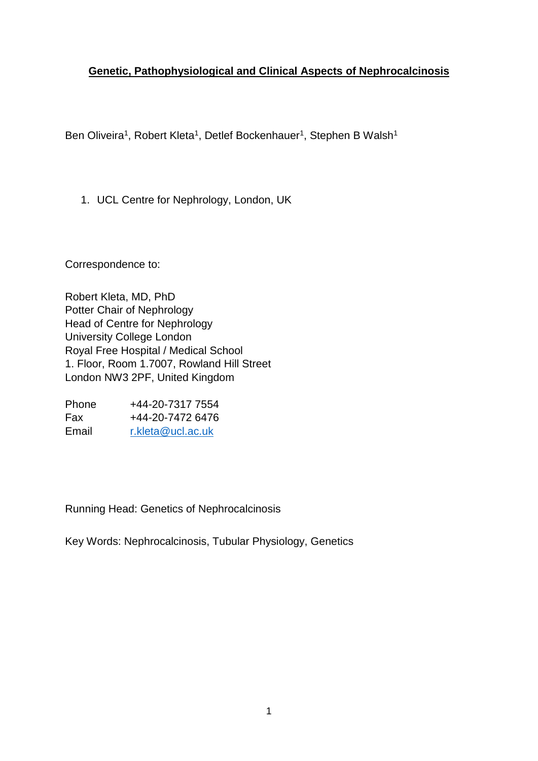# **Genetic, Pathophysiological and Clinical Aspects of Nephrocalcinosis**

Ben Oliveira<sup>1</sup>, Robert Kleta<sup>1</sup>, Detlef Bockenhauer<sup>1</sup>, Stephen B Walsh<sup>1</sup>

1. UCL Centre for Nephrology, London, UK

Correspondence to:

Robert Kleta, MD, PhD Potter Chair of Nephrology Head of Centre for Nephrology University College London Royal Free Hospital / Medical School 1. Floor, Room 1.7007, Rowland Hill Street London NW3 2PF, United Kingdom

Phone  $+44-20-73177554$ Fax +44-20-7472 6476 Email [r.kleta@ucl.ac.uk](mailto:r.kleta@ucl.ac.uk)

Running Head: Genetics of Nephrocalcinosis

Key Words: Nephrocalcinosis, Tubular Physiology, Genetics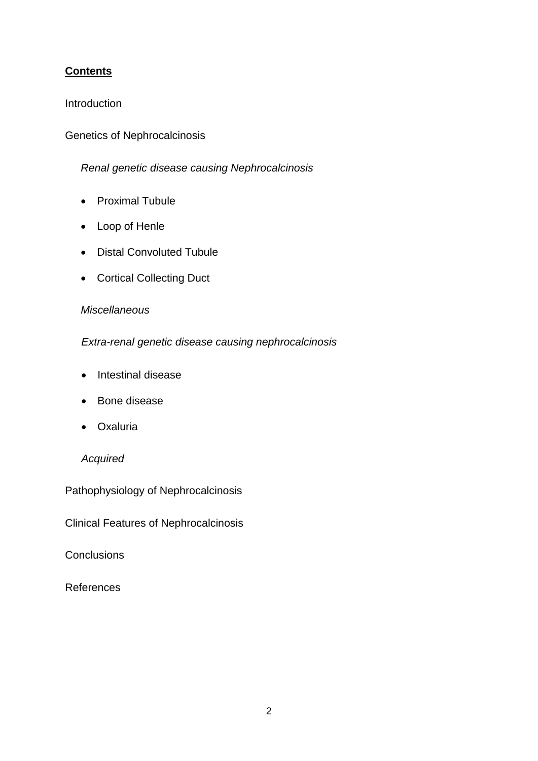# **Contents**

### **Introduction**

# Genetics of Nephrocalcinosis

# *Renal genetic disease causing Nephrocalcinosis*

- Proximal Tubule
- Loop of Henle
- Distal Convoluted Tubule
- Cortical Collecting Duct

# *Miscellaneous*

# *Extra-renal genetic disease causing nephrocalcinosis*

- Intestinal disease
- Bone disease
- Oxaluria

### *Acquired*

Pathophysiology of Nephrocalcinosis

Clinical Features of Nephrocalcinosis

**Conclusions** 

References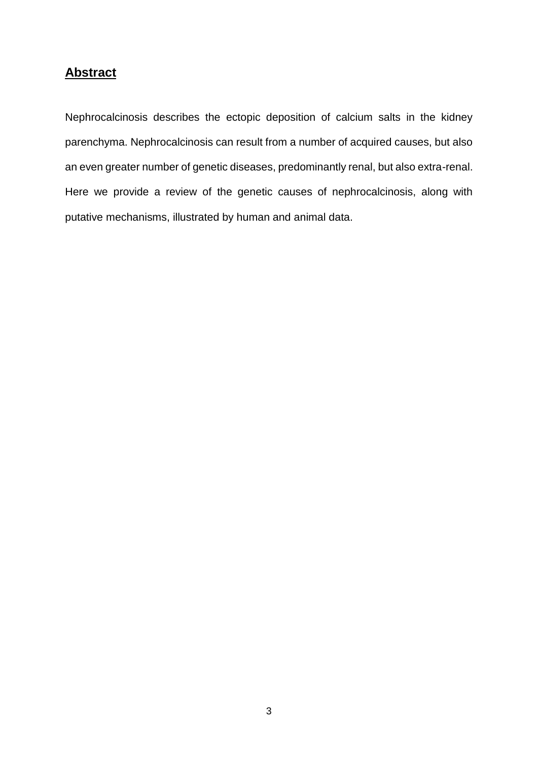# **Abstract**

Nephrocalcinosis describes the ectopic deposition of calcium salts in the kidney parenchyma. Nephrocalcinosis can result from a number of acquired causes, but also an even greater number of genetic diseases, predominantly renal, but also extra-renal. Here we provide a review of the genetic causes of nephrocalcinosis, along with putative mechanisms, illustrated by human and animal data.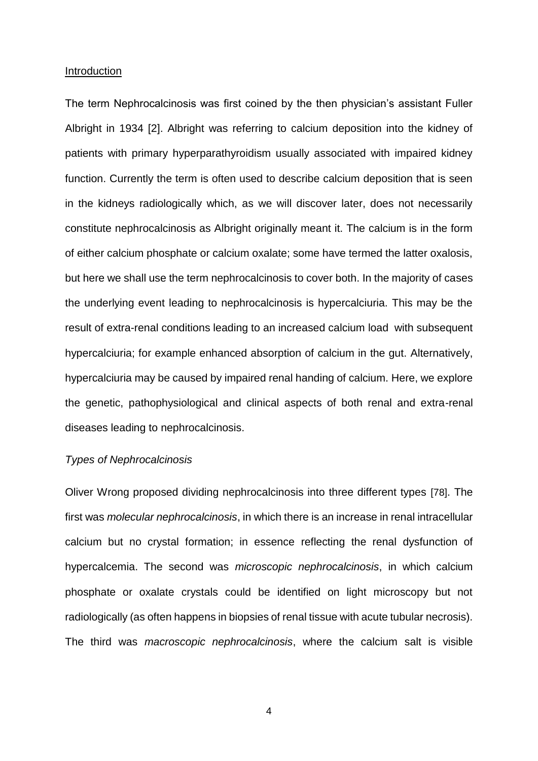#### **Introduction**

The term Nephrocalcinosis was first coined by the then physician's assistant Fuller Albright in 1934 [2]. Albright was referring to calcium deposition into the kidney of patients with primary hyperparathyroidism usually associated with impaired kidney function. Currently the term is often used to describe calcium deposition that is seen in the kidneys radiologically which, as we will discover later, does not necessarily constitute nephrocalcinosis as Albright originally meant it. The calcium is in the form of either calcium phosphate or calcium oxalate; some have termed the latter oxalosis, but here we shall use the term nephrocalcinosis to cover both. In the majority of cases the underlying event leading to nephrocalcinosis is hypercalciuria. This may be the result of extra-renal conditions leading to an increased calcium load with subsequent hypercalciuria; for example enhanced absorption of calcium in the gut. Alternatively, hypercalciuria may be caused by impaired renal handing of calcium. Here, we explore the genetic, pathophysiological and clinical aspects of both renal and extra-renal diseases leading to nephrocalcinosis.

#### *Types of Nephrocalcinosis*

Oliver Wrong proposed dividing nephrocalcinosis into three different types [78]. The first was *molecular nephrocalcinosis*, in which there is an increase in renal intracellular calcium but no crystal formation; in essence reflecting the renal dysfunction of hypercalcemia. The second was *microscopic nephrocalcinosis*, in which calcium phosphate or oxalate crystals could be identified on light microscopy but not radiologically (as often happens in biopsies of renal tissue with acute tubular necrosis). The third was *macroscopic nephrocalcinosis*, where the calcium salt is visible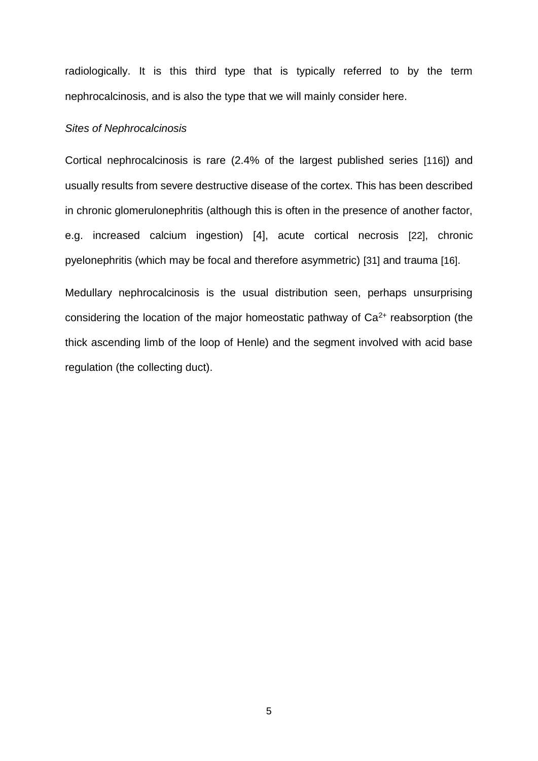radiologically. It is this third type that is typically referred to by the term nephrocalcinosis, and is also the type that we will mainly consider here.

#### *Sites of Nephrocalcinosis*

Cortical nephrocalcinosis is rare (2.4% of the largest published series [116]) and usually results from severe destructive disease of the cortex. This has been described in chronic glomerulonephritis (although this is often in the presence of another factor, e.g. increased calcium ingestion) [4], acute cortical necrosis [22], chronic pyelonephritis (which may be focal and therefore asymmetric) [31] and trauma [16].

Medullary nephrocalcinosis is the usual distribution seen, perhaps unsurprising considering the location of the major homeostatic pathway of  $Ca<sup>2+</sup>$  reabsorption (the thick ascending limb of the loop of Henle) and the segment involved with acid base regulation (the collecting duct).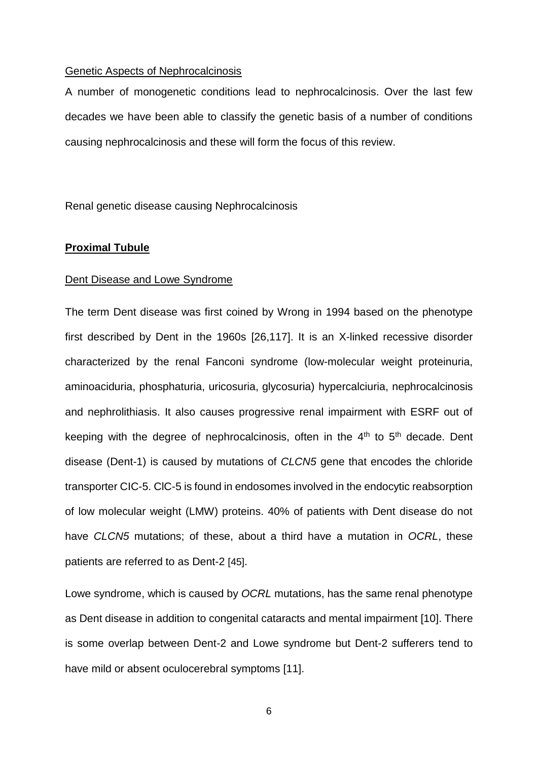#### Genetic Aspects of Nephrocalcinosis

A number of monogenetic conditions lead to nephrocalcinosis. Over the last few decades we have been able to classify the genetic basis of a number of conditions causing nephrocalcinosis and these will form the focus of this review.

Renal genetic disease causing Nephrocalcinosis

#### **Proximal Tubule**

#### Dent Disease and Lowe Syndrome

The term Dent disease was first coined by Wrong in 1994 based on the phenotype first described by Dent in the 1960s [26,117]. It is an X-linked recessive disorder characterized by the renal Fanconi syndrome (low-molecular weight proteinuria, aminoaciduria, phosphaturia, uricosuria, glycosuria) hypercalciuria, nephrocalcinosis and nephrolithiasis. It also causes progressive renal impairment with ESRF out of keeping with the degree of nephrocalcinosis, often in the  $4<sup>th</sup>$  to  $5<sup>th</sup>$  decade. Dent disease (Dent-1) is caused by mutations of *CLCN5* gene that encodes the chloride transporter CIC-5. ClC-5 is found in endosomes involved in the endocytic reabsorption of low molecular weight (LMW) proteins. 40% of patients with Dent disease do not have *CLCN5* mutations; of these, about a third have a mutation in *OCRL*, these patients are referred to as Dent-2 [45].

Lowe syndrome, which is caused by *OCRL* mutations, has the same renal phenotype as Dent disease in addition to congenital cataracts and mental impairment [10]. There is some overlap between Dent-2 and Lowe syndrome but Dent-2 sufferers tend to have mild or absent oculocerebral symptoms [11].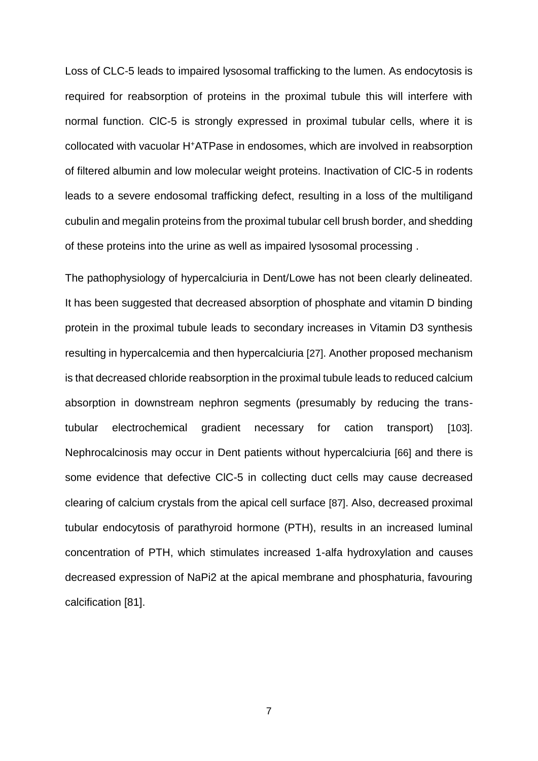Loss of CLC-5 leads to impaired lysosomal trafficking to the lumen. As endocytosis is required for reabsorption of proteins in the proximal tubule this will interfere with normal function. ClC-5 is strongly expressed in proximal tubular cells, where it is collocated with vacuolar H<sup>+</sup>ATPase in endosomes, which are involved in reabsorption of filtered albumin and low molecular weight proteins. Inactivation of ClC-5 in rodents leads to a severe endosomal trafficking defect, resulting in a loss of the multiligand cubulin and megalin proteins from the proximal tubular cell brush border, and shedding of these proteins into the urine as well as impaired lysosomal processing .

The pathophysiology of hypercalciuria in Dent/Lowe has not been clearly delineated. It has been suggested that decreased absorption of phosphate and vitamin D binding protein in the proximal tubule leads to secondary increases in Vitamin D3 synthesis resulting in hypercalcemia and then hypercalciuria [27]. Another proposed mechanism is that decreased chloride reabsorption in the proximal tubule leads to reduced calcium absorption in downstream nephron segments (presumably by reducing the transtubular electrochemical gradient necessary for cation transport) [103]. Nephrocalcinosis may occur in Dent patients without hypercalciuria [66] and there is some evidence that defective ClC-5 in collecting duct cells may cause decreased clearing of calcium crystals from the apical cell surface [87]. Also, decreased proximal tubular endocytosis of parathyroid hormone (PTH), results in an increased luminal concentration of PTH, which stimulates increased 1-alfa hydroxylation and causes decreased expression of NaPi2 at the apical membrane and phosphaturia, favouring calcification [81].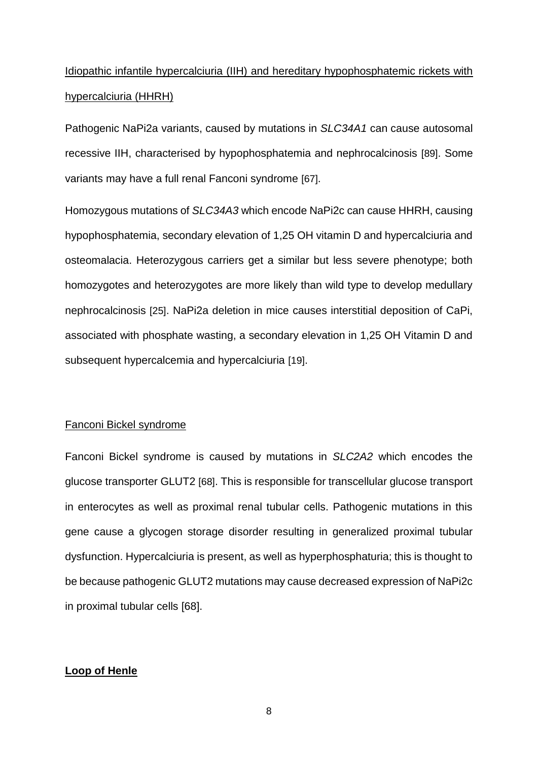# Idiopathic infantile hypercalciuria (IIH) and hereditary hypophosphatemic rickets with hypercalciuria (HHRH)

Pathogenic NaPi2a variants, caused by mutations in *SLC34A1* can cause autosomal recessive IIH, characterised by hypophosphatemia and nephrocalcinosis [89]. Some variants may have a full renal Fanconi syndrome [67].

Homozygous mutations of *SLC34A3* which encode NaPi2c can cause HHRH, causing hypophosphatemia, secondary elevation of 1,25 OH vitamin D and hypercalciuria and osteomalacia. Heterozygous carriers get a similar but less severe phenotype; both homozygotes and heterozygotes are more likely than wild type to develop medullary nephrocalcinosis [25]. NaPi2a deletion in mice causes interstitial deposition of CaPi, associated with phosphate wasting, a secondary elevation in 1,25 OH Vitamin D and subsequent hypercalcemia and hypercalciuria [19].

#### Fanconi Bickel syndrome

Fanconi Bickel syndrome is caused by mutations in *SLC2A2* which encodes the glucose transporter GLUT2 [68]. This is responsible for transcellular glucose transport in enterocytes as well as proximal renal tubular cells. Pathogenic mutations in this gene cause a glycogen storage disorder resulting in generalized proximal tubular dysfunction. Hypercalciuria is present, as well as hyperphosphaturia; this is thought to be because pathogenic GLUT2 mutations may cause decreased expression of NaPi2c in proximal tubular cells [68].

#### **Loop of Henle**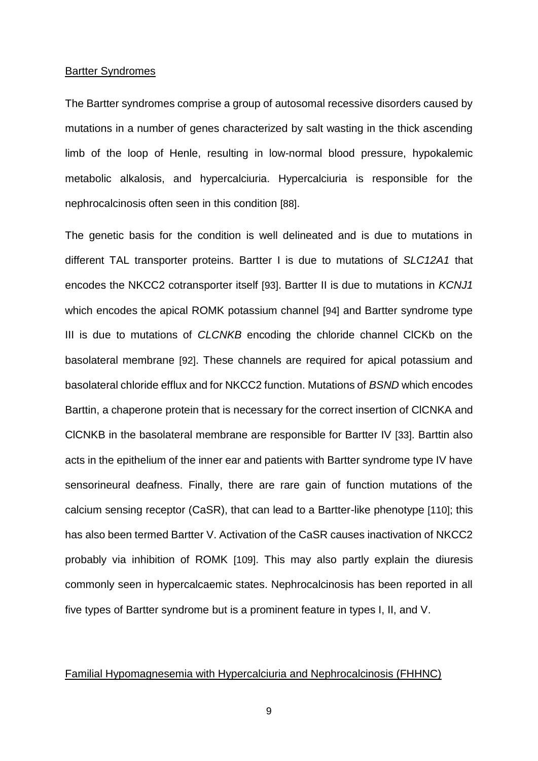#### Bartter Syndromes

The Bartter syndromes comprise a group of autosomal recessive disorders caused by mutations in a number of genes characterized by salt wasting in the thick ascending limb of the loop of Henle, resulting in low-normal blood pressure, hypokalemic metabolic alkalosis, and hypercalciuria. Hypercalciuria is responsible for the nephrocalcinosis often seen in this condition [88].

The genetic basis for the condition is well delineated and is due to mutations in different TAL transporter proteins. Bartter I is due to mutations of *SLC12A1* that encodes the NKCC2 cotransporter itself [93]. Bartter II is due to mutations in *KCNJ1* which encodes the apical ROMK potassium channel [94] and Bartter syndrome type III is due to mutations of *CLCNKB* encoding the chloride channel ClCKb on the basolateral membrane [92]. These channels are required for apical potassium and basolateral chloride efflux and for NKCC2 function. Mutations of *BSND* which encodes Barttin, a chaperone protein that is necessary for the correct insertion of ClCNKA and ClCNKB in the basolateral membrane are responsible for Bartter IV [33]. Barttin also acts in the epithelium of the inner ear and patients with Bartter syndrome type IV have sensorineural deafness. Finally, there are rare gain of function mutations of the calcium sensing receptor (CaSR), that can lead to a Bartter-like phenotype [110]; this has also been termed Bartter V. Activation of the CaSR causes inactivation of NKCC2 probably via inhibition of ROMK [109]. This may also partly explain the diuresis commonly seen in hypercalcaemic states. Nephrocalcinosis has been reported in all five types of Bartter syndrome but is a prominent feature in types I, II, and V.

#### Familial Hypomagnesemia with Hypercalciuria and Nephrocalcinosis (FHHNC)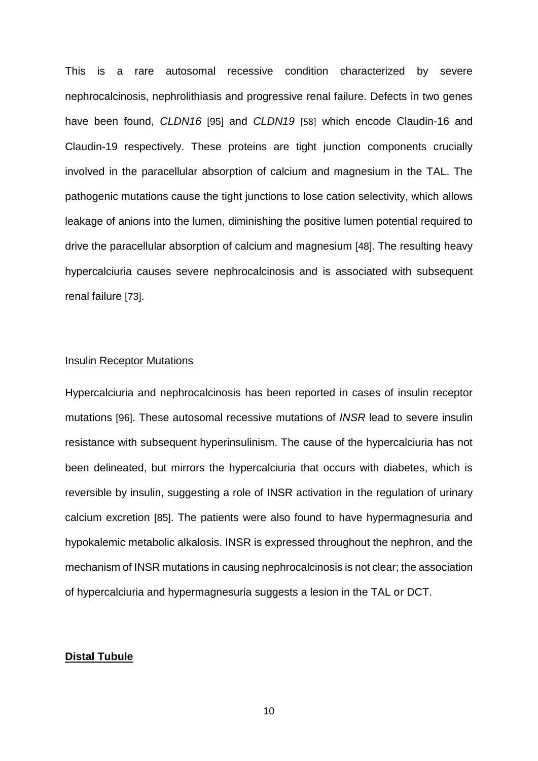This is a rare autosomal recessive condition characterized by severe nephrocalcinosis, nephrolithiasis and progressive renal failure. Defects in two genes have been found, *CLDN16* [95] and *CLDN19* [58] which encode Claudin-16 and Claudin-19 respectively. These proteins are tight junction components crucially involved in the paracellular absorption of calcium and magnesium in the TAL. The pathogenic mutations cause the tight junctions to lose cation selectivity, which allows leakage of anions into the lumen, diminishing the positive lumen potential required to drive the paracellular absorption of calcium and magnesium [48]. The resulting heavy hypercalciuria causes severe nephrocalcinosis and is associated with subsequent renal failure [73].

#### Insulin Receptor Mutations

Hypercalciuria and nephrocalcinosis has been reported in cases of insulin receptor mutations [96]. These autosomal recessive mutations of *INSR* lead to severe insulin resistance with subsequent hyperinsulinism. The cause of the hypercalciuria has not been delineated, but mirrors the hypercalciuria that occurs with diabetes, which is reversible by insulin, suggesting a role of INSR activation in the regulation of urinary calcium excretion [85]. The patients were also found to have hypermagnesuria and hypokalemic metabolic alkalosis. INSR is expressed throughout the nephron, and the mechanism of INSR mutations in causing nephrocalcinosis is not clear; the association of hypercalciuria and hypermagnesuria suggests a lesion in the TAL or DCT.

### **Distal Tubule**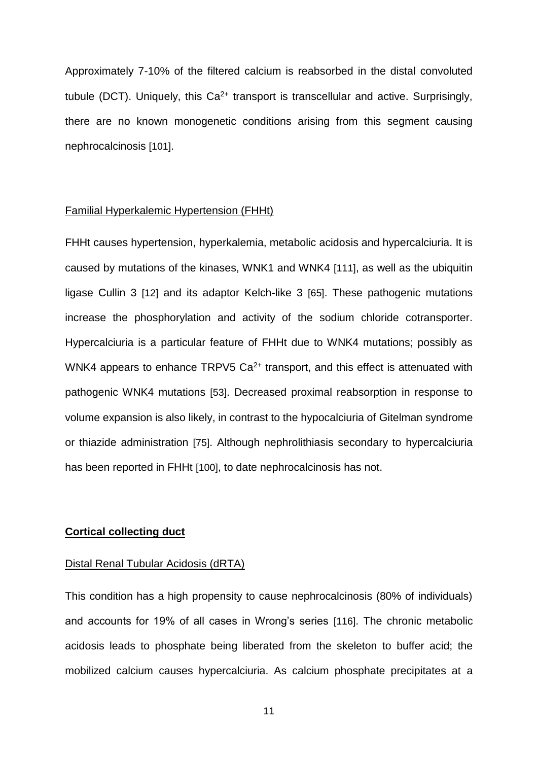Approximately 7-10% of the filtered calcium is reabsorbed in the distal convoluted tubule (DCT). Uniquely, this  $Ca^{2+}$  transport is transcellular and active. Surprisingly, there are no known monogenetic conditions arising from this segment causing nephrocalcinosis [101].

#### Familial Hyperkalemic Hypertension (FHHt)

FHHt causes hypertension, hyperkalemia, metabolic acidosis and hypercalciuria. It is caused by mutations of the kinases, WNK1 and WNK4 [111], as well as the ubiquitin ligase Cullin 3 [12] and its adaptor Kelch-like 3 [65]. These pathogenic mutations increase the phosphorylation and activity of the sodium chloride cotransporter. Hypercalciuria is a particular feature of FHHt due to WNK4 mutations; possibly as WNK4 appears to enhance TRPV5  $Ca^{2+}$  transport, and this effect is attenuated with pathogenic WNK4 mutations [53]. Decreased proximal reabsorption in response to volume expansion is also likely, in contrast to the hypocalciuria of Gitelman syndrome or thiazide administration [75]. Although nephrolithiasis secondary to hypercalciuria has been reported in FHHt [100], to date nephrocalcinosis has not.

#### **Cortical collecting duct**

#### Distal Renal Tubular Acidosis (dRTA)

This condition has a high propensity to cause nephrocalcinosis (80% of individuals) and accounts for 19% of all cases in Wrong's series [116]. The chronic metabolic acidosis leads to phosphate being liberated from the skeleton to buffer acid; the mobilized calcium causes hypercalciuria. As calcium phosphate precipitates at a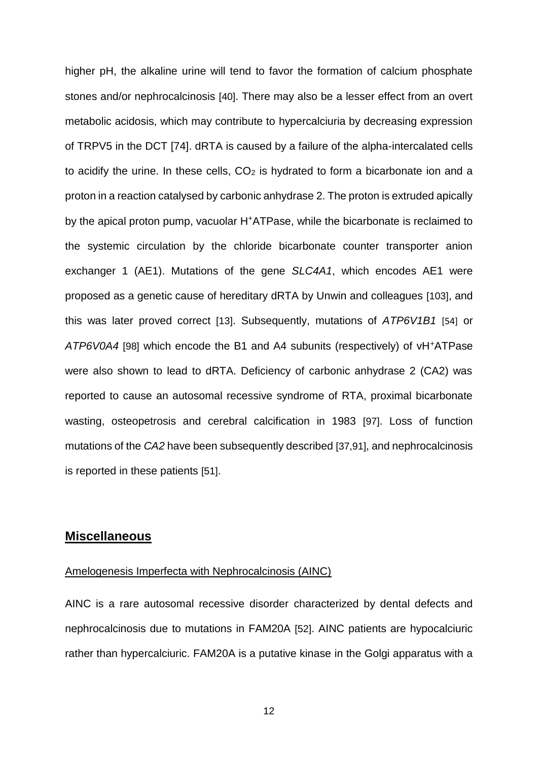higher pH, the alkaline urine will tend to favor the formation of calcium phosphate stones and/or nephrocalcinosis [40]. There may also be a lesser effect from an overt metabolic acidosis, which may contribute to hypercalciuria by decreasing expression of TRPV5 in the DCT [74]. dRTA is caused by a failure of the alpha-intercalated cells to acidify the urine. In these cells,  $CO<sub>2</sub>$  is hydrated to form a bicarbonate ion and a proton in a reaction catalysed by carbonic anhydrase 2. The proton is extruded apically by the apical proton pump, vacuolar H<sup>+</sup>ATPase, while the bicarbonate is reclaimed to the systemic circulation by the chloride bicarbonate counter transporter anion exchanger 1 (AE1). Mutations of the gene *SLC4A1*, which encodes AE1 were proposed as a genetic cause of hereditary dRTA by Unwin and colleagues [103], and this was later proved correct [13]. Subsequently, mutations of *ATP6V1B1* [54] or *ATP6V0A4* [98] which encode the B1 and A4 subunits (respectively) of vH<sup>+</sup>ATPase were also shown to lead to dRTA. Deficiency of carbonic anhydrase 2 (CA2) was reported to cause an autosomal recessive syndrome of RTA, proximal bicarbonate wasting, osteopetrosis and cerebral calcification in 1983 [97]. Loss of function mutations of the *CA2* have been subsequently described [37,91], and nephrocalcinosis is reported in these patients [51].

# **Miscellaneous**

#### Amelogenesis Imperfecta with Nephrocalcinosis (AINC)

AINC is a rare autosomal recessive disorder characterized by dental defects and nephrocalcinosis due to mutations in FAM20A [52]. AINC patients are hypocalciuric rather than hypercalciuric. FAM20A is a putative kinase in the Golgi apparatus with a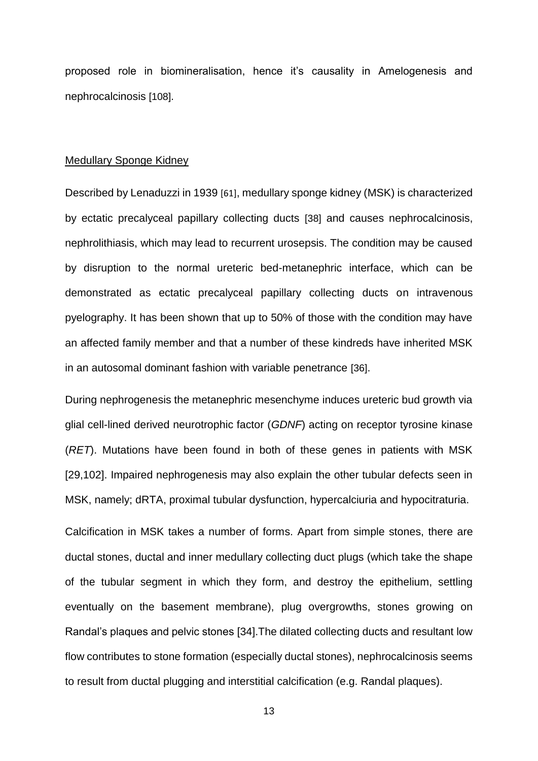proposed role in biomineralisation, hence it's causality in Amelogenesis and nephrocalcinosis [108].

#### Medullary Sponge Kidney

Described by Lenaduzzi in 1939 [61], medullary sponge kidney (MSK) is characterized by ectatic precalyceal papillary collecting ducts [38] and causes nephrocalcinosis, nephrolithiasis, which may lead to recurrent urosepsis. The condition may be caused by disruption to the normal ureteric bed-metanephric interface, which can be demonstrated as ectatic precalyceal papillary collecting ducts on intravenous pyelography. It has been shown that up to 50% of those with the condition may have an affected family member and that a number of these kindreds have inherited MSK in an autosomal dominant fashion with variable penetrance [36].

During nephrogenesis the metanephric mesenchyme induces ureteric bud growth via glial cell-lined derived neurotrophic factor (*GDNF*) acting on receptor tyrosine kinase (*RET*). Mutations have been found in both of these genes in patients with MSK [29,102]. Impaired nephrogenesis may also explain the other tubular defects seen in MSK, namely; dRTA, proximal tubular dysfunction, hypercalciuria and hypocitraturia.

Calcification in MSK takes a number of forms. Apart from simple stones, there are ductal stones, ductal and inner medullary collecting duct plugs (which take the shape of the tubular segment in which they form, and destroy the epithelium, settling eventually on the basement membrane), plug overgrowths, stones growing on Randal's plaques and pelvic stones [34].The dilated collecting ducts and resultant low flow contributes to stone formation (especially ductal stones), nephrocalcinosis seems to result from ductal plugging and interstitial calcification (e.g. Randal plaques).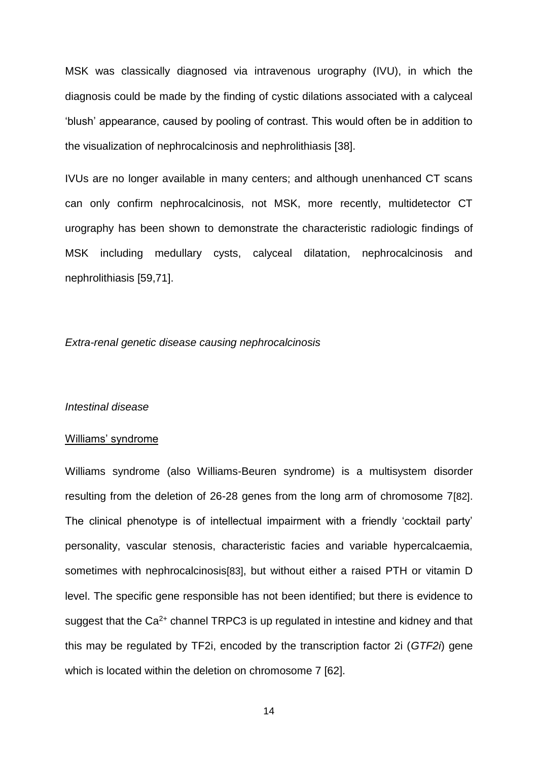MSK was classically diagnosed via intravenous urography (IVU), in which the diagnosis could be made by the finding of cystic dilations associated with a calyceal 'blush' appearance, caused by pooling of contrast. This would often be in addition to the visualization of nephrocalcinosis and nephrolithiasis [38].

IVUs are no longer available in many centers; and although unenhanced CT scans can only confirm nephrocalcinosis, not MSK, more recently, multidetector CT urography has been shown to demonstrate the characteristic radiologic findings of MSK including medullary cysts, calyceal dilatation, nephrocalcinosis and nephrolithiasis [59,71].

#### *Extra-renal genetic disease causing nephrocalcinosis*

#### *Intestinal disease*

#### Williams' syndrome

Williams syndrome (also Williams-Beuren syndrome) is a multisystem disorder resulting from the deletion of 26-28 genes from the long arm of chromosome 7[82]. The clinical phenotype is of intellectual impairment with a friendly 'cocktail party' personality, vascular stenosis, characteristic facies and variable hypercalcaemia, sometimes with nephrocalcinosis[83], but without either a raised PTH or vitamin D level. The specific gene responsible has not been identified; but there is evidence to suggest that the  $Ca<sup>2+</sup>$  channel TRPC3 is up regulated in intestine and kidney and that this may be regulated by TF2i, encoded by the transcription factor 2i (*GTF2i*) gene which is located within the deletion on chromosome 7 [62].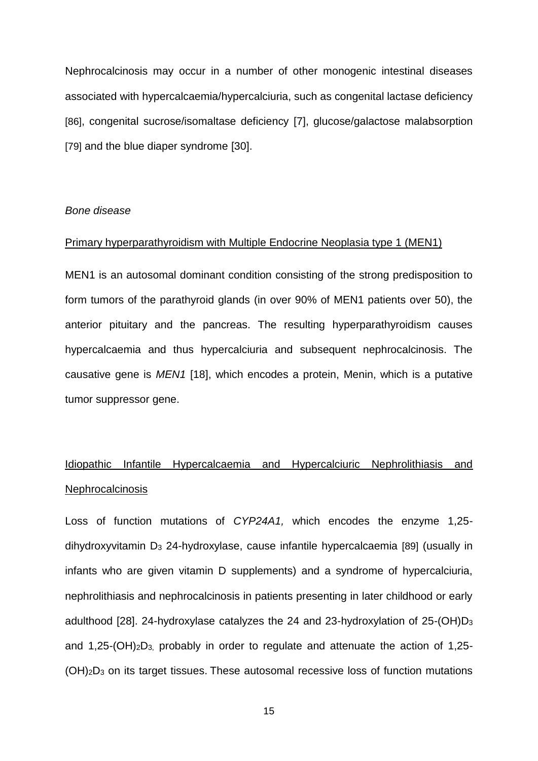Nephrocalcinosis may occur in a number of other monogenic intestinal diseases associated with hypercalcaemia/hypercalciuria, such as congenital lactase deficiency [86], congenital sucrose/isomaltase deficiency [7], glucose/galactose malabsorption [79] and the blue diaper syndrome [30].

#### *Bone disease*

#### Primary hyperparathyroidism with Multiple Endocrine Neoplasia type 1 (MEN1)

MEN1 is an autosomal dominant condition consisting of the strong predisposition to form tumors of the parathyroid glands (in over 90% of MEN1 patients over 50), the anterior pituitary and the pancreas. The resulting hyperparathyroidism causes hypercalcaemia and thus hypercalciuria and subsequent nephrocalcinosis. The causative gene is *MEN1* [18], which encodes a protein, Menin, which is a putative tumor suppressor gene.

# Idiopathic Infantile Hypercalcaemia and Hypercalciuric Nephrolithiasis and **Nephrocalcinosis**

Loss of function mutations of *CYP24A1,* which encodes the enzyme 1,25 dihydroxyvitamin D<sub>3</sub> 24-hydroxylase, cause infantile hypercalcaemia [89] (usually in infants who are given vitamin D supplements) and a syndrome of hypercalciuria, nephrolithiasis and nephrocalcinosis in patients presenting in later childhood or early adulthood [28]. 24-hydroxylase catalyzes the 24 and 23-hydroxylation of 25-(OH)D<sup>3</sup> and  $1,25-(OH)<sub>2</sub>D<sub>3</sub>$ , probably in order to regulate and attenuate the action of  $1,25$ -(OH)2D<sup>3</sup> on its target tissues. These autosomal recessive loss of function mutations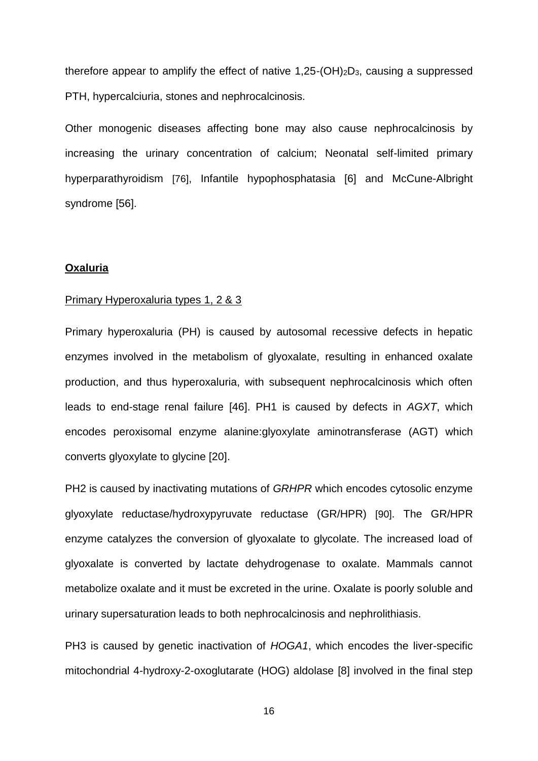therefore appear to amplify the effect of native  $1,25-(OH)_{2}D_{3}$ , causing a suppressed PTH, hypercalciuria, stones and nephrocalcinosis.

Other monogenic diseases affecting bone may also cause nephrocalcinosis by increasing the urinary concentration of calcium; Neonatal self-limited primary hyperparathyroidism [76], Infantile hypophosphatasia [6] and McCune-Albright syndrome [56].

#### **Oxaluria**

#### Primary Hyperoxaluria types 1, 2 & 3

Primary hyperoxaluria (PH) is caused by autosomal recessive defects in hepatic enzymes involved in the metabolism of glyoxalate, resulting in enhanced oxalate production, and thus hyperoxaluria, with subsequent nephrocalcinosis which often leads to end-stage renal failure [46]. PH1 is caused by defects in *AGXT*, which encodes peroxisomal enzyme alanine:glyoxylate aminotransferase (AGT) which converts glyoxylate to glycine [20].

PH2 is caused by inactivating mutations of *GRHPR* which encodes cytosolic enzyme glyoxylate reductase/hydroxypyruvate reductase (GR/HPR) [90]. The GR/HPR enzyme catalyzes the conversion of glyoxalate to glycolate. The increased load of glyoxalate is converted by lactate dehydrogenase to oxalate. Mammals cannot metabolize oxalate and it must be excreted in the urine. Oxalate is poorly soluble and urinary supersaturation leads to both nephrocalcinosis and nephrolithiasis.

PH3 is caused by genetic inactivation of *HOGA1*, which encodes the liver-specific mitochondrial 4-hydroxy-2-oxoglutarate (HOG) aldolase [8] involved in the final step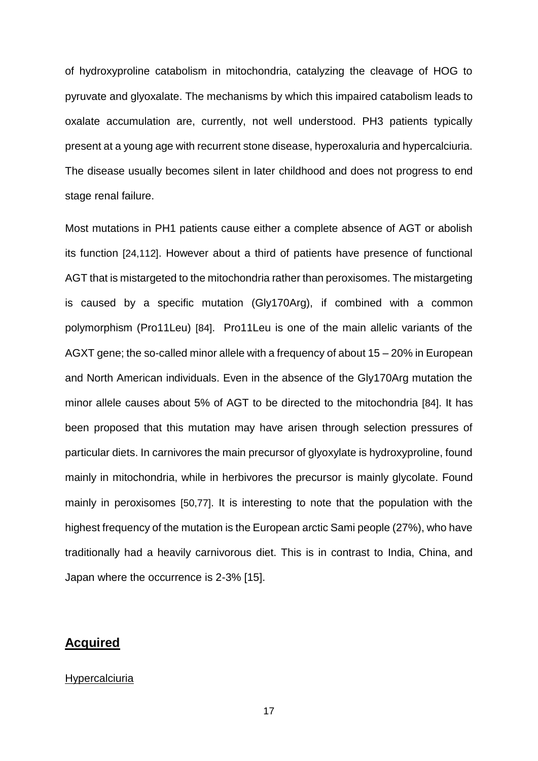of hydroxyproline catabolism in mitochondria, catalyzing the cleavage of HOG to pyruvate and glyoxalate. The mechanisms by which this impaired catabolism leads to oxalate accumulation are, currently, not well understood. PH3 patients typically present at a young age with recurrent stone disease, hyperoxaluria and hypercalciuria. The disease usually becomes silent in later childhood and does not progress to end stage renal failure.

Most mutations in PH1 patients cause either a complete absence of AGT or abolish its function [24,112]. However about a third of patients have presence of functional AGT that is mistargeted to the mitochondria rather than peroxisomes. The mistargeting is caused by a specific mutation (Gly170Arg), if combined with a common polymorphism (Pro11Leu) [84]. Pro11Leu is one of the main allelic variants of the AGXT gene; the so-called minor allele with a frequency of about 15 – 20% in European and North American individuals. Even in the absence of the Gly170Arg mutation the minor allele causes about 5% of AGT to be directed to the mitochondria [84]. It has been proposed that this mutation may have arisen through selection pressures of particular diets. In carnivores the main precursor of glyoxylate is hydroxyproline, found mainly in mitochondria, while in herbivores the precursor is mainly glycolate. Found mainly in peroxisomes [50,77]. It is interesting to note that the population with the highest frequency of the mutation is the European arctic Sami people (27%), who have traditionally had a heavily carnivorous diet. This is in contrast to India, China, and Japan where the occurrence is 2-3% [15].

# **Acquired**

#### **Hypercalciuria**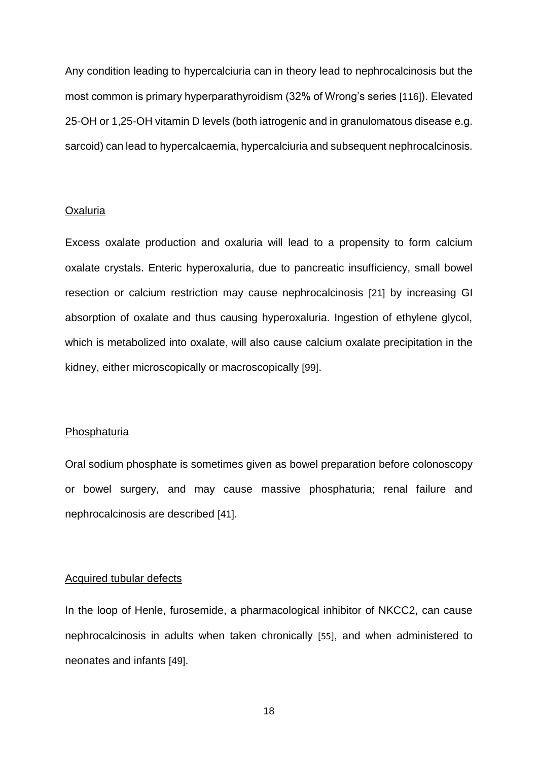Any condition leading to hypercalciuria can in theory lead to nephrocalcinosis but the most common is primary hyperparathyroidism (32% of Wrong's series [116]). Elevated 25-OH or 1,25-OH vitamin D levels (both iatrogenic and in granulomatous disease e.g. sarcoid) can lead to hypercalcaemia, hypercalciuria and subsequent nephrocalcinosis.

#### Oxaluria

Excess oxalate production and oxaluria will lead to a propensity to form calcium oxalate crystals. Enteric hyperoxaluria, due to pancreatic insufficiency, small bowel resection or calcium restriction may cause nephrocalcinosis [21] by increasing GI absorption of oxalate and thus causing hyperoxaluria. Ingestion of ethylene glycol, which is metabolized into oxalate, will also cause calcium oxalate precipitation in the kidney, either microscopically or macroscopically [99].

#### **Phosphaturia**

Oral sodium phosphate is sometimes given as bowel preparation before colonoscopy or bowel surgery, and may cause massive phosphaturia; renal failure and nephrocalcinosis are described [41].

#### Acquired tubular defects

In the loop of Henle, furosemide, a pharmacological inhibitor of NKCC2, can cause nephrocalcinosis in adults when taken chronically [55], and when administered to neonates and infants [49].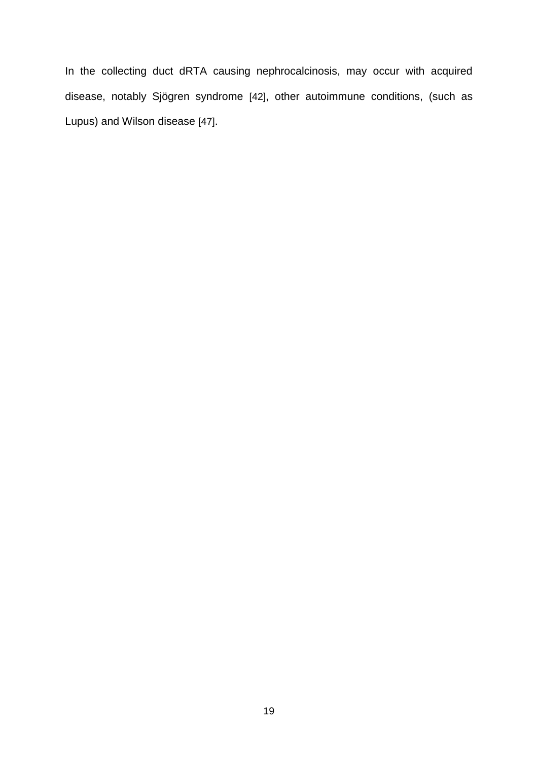In the collecting duct dRTA causing nephrocalcinosis, may occur with acquired disease, notably Sjögren syndrome [42], other autoimmune conditions, (such as Lupus) and Wilson disease [47].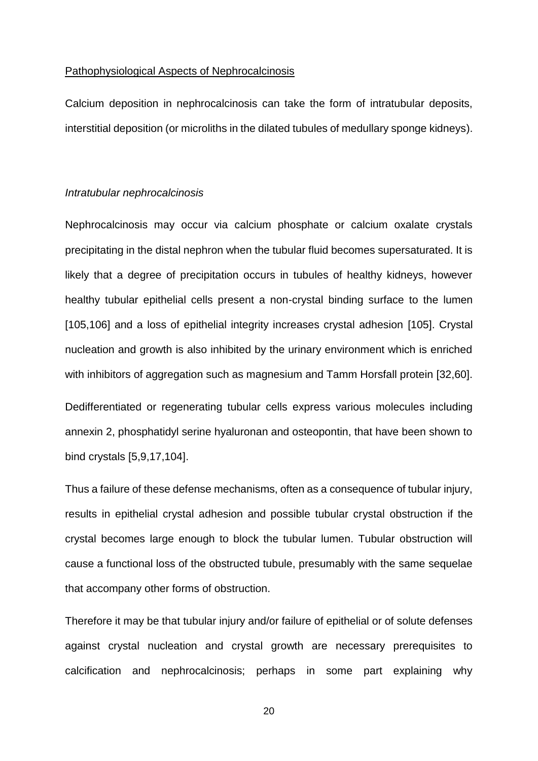#### Pathophysiological Aspects of Nephrocalcinosis

Calcium deposition in nephrocalcinosis can take the form of intratubular deposits, interstitial deposition (or microliths in the dilated tubules of medullary sponge kidneys).

#### *Intratubular nephrocalcinosis*

Nephrocalcinosis may occur via calcium phosphate or calcium oxalate crystals precipitating in the distal nephron when the tubular fluid becomes supersaturated. It is likely that a degree of precipitation occurs in tubules of healthy kidneys, however healthy tubular epithelial cells present a non-crystal binding surface to the lumen [105,106] and a loss of epithelial integrity increases crystal adhesion [105]. Crystal nucleation and growth is also inhibited by the urinary environment which is enriched with inhibitors of aggregation such as magnesium and Tamm Horsfall protein [32,60].

Dedifferentiated or regenerating tubular cells express various molecules including annexin 2, phosphatidyl serine hyaluronan and osteopontin, that have been shown to bind crystals [5,9,17,104].

Thus a failure of these defense mechanisms, often as a consequence of tubular injury, results in epithelial crystal adhesion and possible tubular crystal obstruction if the crystal becomes large enough to block the tubular lumen. Tubular obstruction will cause a functional loss of the obstructed tubule, presumably with the same sequelae that accompany other forms of obstruction.

Therefore it may be that tubular injury and/or failure of epithelial or of solute defenses against crystal nucleation and crystal growth are necessary prerequisites to calcification and nephrocalcinosis; perhaps in some part explaining why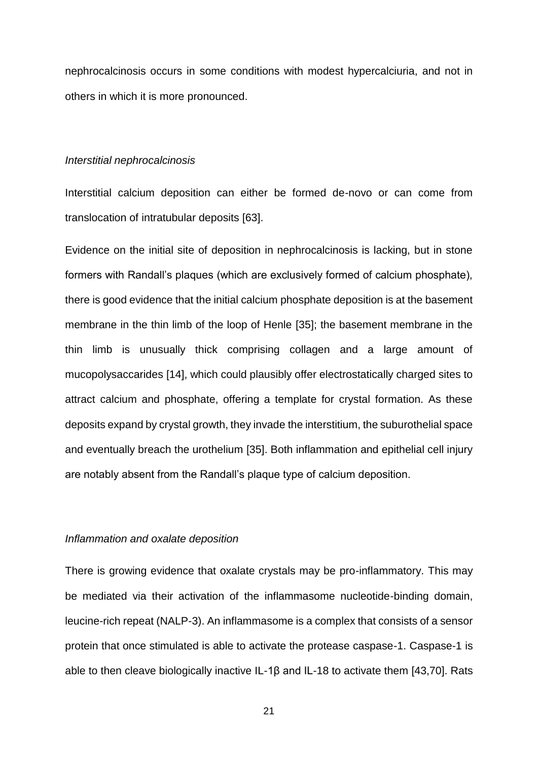nephrocalcinosis occurs in some conditions with modest hypercalciuria, and not in others in which it is more pronounced.

#### *Interstitial nephrocalcinosis*

Interstitial calcium deposition can either be formed de-novo or can come from translocation of intratubular deposits [63].

Evidence on the initial site of deposition in nephrocalcinosis is lacking, but in stone formers with Randall's plaques (which are exclusively formed of calcium phosphate), there is good evidence that the initial calcium phosphate deposition is at the basement membrane in the thin limb of the loop of Henle [35]; the basement membrane in the thin limb is unusually thick comprising collagen and a large amount of mucopolysaccarides [14], which could plausibly offer electrostatically charged sites to attract calcium and phosphate, offering a template for crystal formation. As these deposits expand by crystal growth, they invade the interstitium, the suburothelial space and eventually breach the urothelium [35]. Both inflammation and epithelial cell injury are notably absent from the Randall's plaque type of calcium deposition.

#### *Inflammation and oxalate deposition*

There is growing evidence that oxalate crystals may be pro-inflammatory. This may be mediated via their activation of the inflammasome nucleotide-binding domain, leucine-rich repeat (NALP-3). An inflammasome is a complex that consists of a sensor protein that once stimulated is able to activate the protease caspase-1. Caspase-1 is able to then cleave biologically inactive IL-1β and IL-18 to activate them [43,70]. Rats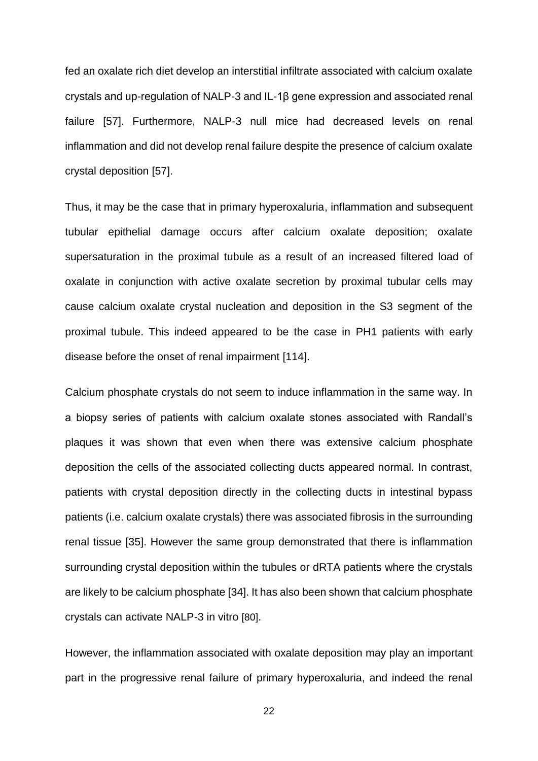fed an oxalate rich diet develop an interstitial infiltrate associated with calcium oxalate crystals and up-regulation of NALP-3 and IL-1β gene expression and associated renal failure [57]. Furthermore, NALP-3 null mice had decreased levels on renal inflammation and did not develop renal failure despite the presence of calcium oxalate crystal deposition [57].

Thus, it may be the case that in primary hyperoxaluria, inflammation and subsequent tubular epithelial damage occurs after calcium oxalate deposition; oxalate supersaturation in the proximal tubule as a result of an increased filtered load of oxalate in conjunction with active oxalate secretion by proximal tubular cells may cause calcium oxalate crystal nucleation and deposition in the S3 segment of the proximal tubule. This indeed appeared to be the case in PH1 patients with early disease before the onset of renal impairment [114].

Calcium phosphate crystals do not seem to induce inflammation in the same way. In a biopsy series of patients with calcium oxalate stones associated with Randall's plaques it was shown that even when there was extensive calcium phosphate deposition the cells of the associated collecting ducts appeared normal. In contrast, patients with crystal deposition directly in the collecting ducts in intestinal bypass patients (i.e. calcium oxalate crystals) there was associated fibrosis in the surrounding renal tissue [35]. However the same group demonstrated that there is inflammation surrounding crystal deposition within the tubules or dRTA patients where the crystals are likely to be calcium phosphate [34]. It has also been shown that calcium phosphate crystals can activate NALP-3 in vitro [80].

However, the inflammation associated with oxalate deposition may play an important part in the progressive renal failure of primary hyperoxaluria, and indeed the renal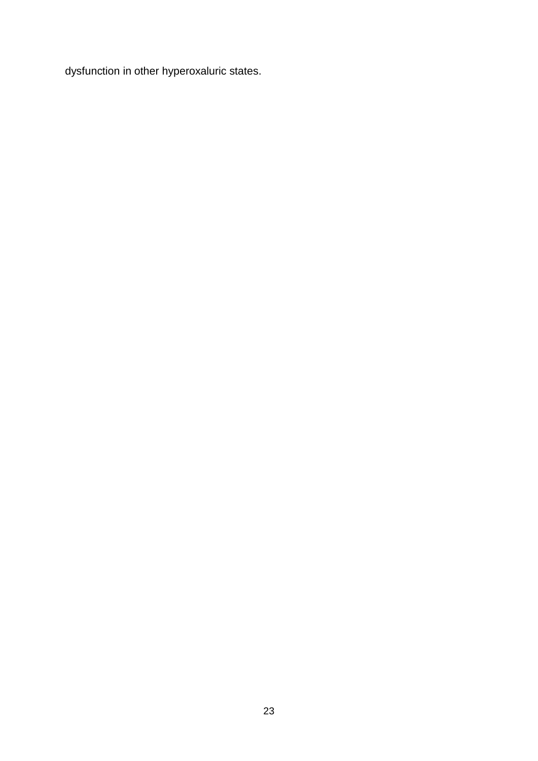dysfunction in other hyperoxaluric states.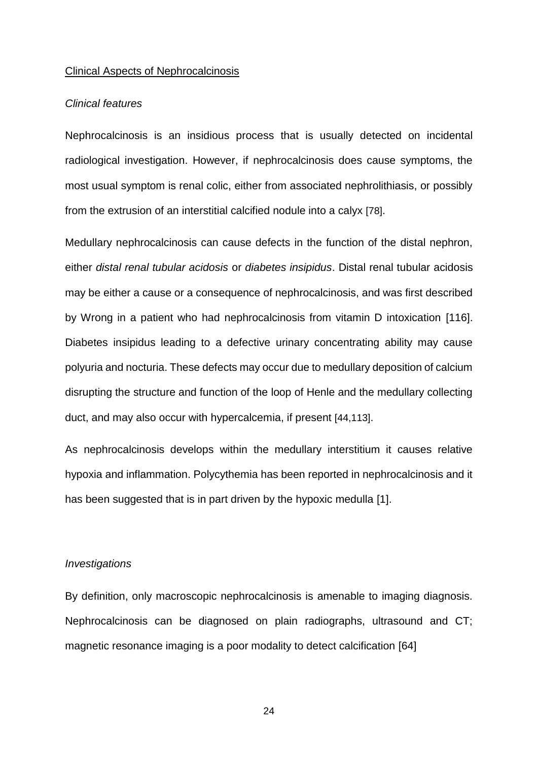#### Clinical Aspects of Nephrocalcinosis

#### *Clinical features*

Nephrocalcinosis is an insidious process that is usually detected on incidental radiological investigation. However, if nephrocalcinosis does cause symptoms, the most usual symptom is renal colic, either from associated nephrolithiasis, or possibly from the extrusion of an interstitial calcified nodule into a calyx [78].

Medullary nephrocalcinosis can cause defects in the function of the distal nephron, either *distal renal tubular acidosis* or *diabetes insipidus*. Distal renal tubular acidosis may be either a cause or a consequence of nephrocalcinosis, and was first described by Wrong in a patient who had nephrocalcinosis from vitamin D intoxication [116]. Diabetes insipidus leading to a defective urinary concentrating ability may cause polyuria and nocturia. These defects may occur due to medullary deposition of calcium disrupting the structure and function of the loop of Henle and the medullary collecting duct, and may also occur with hypercalcemia, if present [44,113].

As nephrocalcinosis develops within the medullary interstitium it causes relative hypoxia and inflammation. Polycythemia has been reported in nephrocalcinosis and it has been suggested that is in part driven by the hypoxic medulla [1].

#### *Investigations*

By definition, only macroscopic nephrocalcinosis is amenable to imaging diagnosis. Nephrocalcinosis can be diagnosed on plain radiographs, ultrasound and CT; magnetic resonance imaging is a poor modality to detect calcification [64]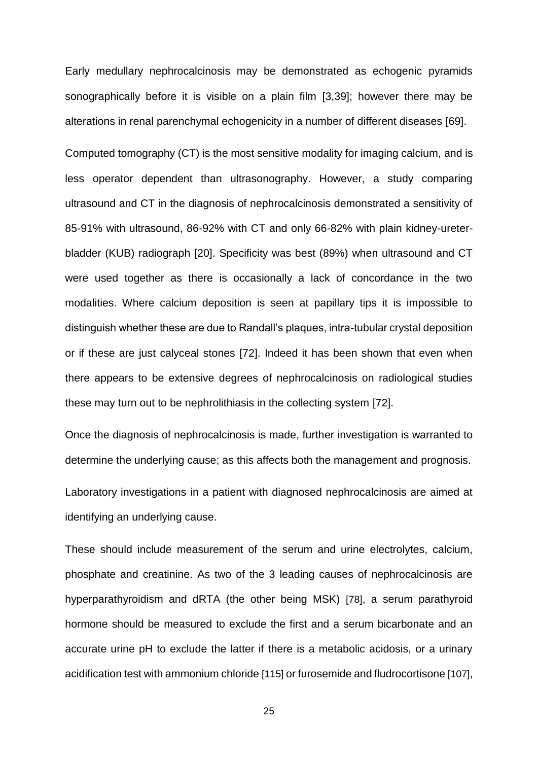Early medullary nephrocalcinosis may be demonstrated as echogenic pyramids sonographically before it is visible on a plain film [3,39]; however there may be alterations in renal parenchymal echogenicity in a number of different diseases [69].

Computed tomography (CT) is the most sensitive modality for imaging calcium, and is less operator dependent than ultrasonography. However, a study comparing ultrasound and CT in the diagnosis of nephrocalcinosis demonstrated a sensitivity of 85-91% with ultrasound, 86-92% with CT and only 66-82% with plain kidney-ureterbladder (KUB) radiograph [20]. Specificity was best (89%) when ultrasound and CT were used together as there is occasionally a lack of concordance in the two modalities. Where calcium deposition is seen at papillary tips it is impossible to distinguish whether these are due to Randall's plaques, intra-tubular crystal deposition or if these are just calyceal stones [72]. Indeed it has been shown that even when there appears to be extensive degrees of nephrocalcinosis on radiological studies these may turn out to be nephrolithiasis in the collecting system [72].

Once the diagnosis of nephrocalcinosis is made, further investigation is warranted to determine the underlying cause; as this affects both the management and prognosis.

Laboratory investigations in a patient with diagnosed nephrocalcinosis are aimed at identifying an underlying cause.

These should include measurement of the serum and urine electrolytes, calcium, phosphate and creatinine. As two of the 3 leading causes of nephrocalcinosis are hyperparathyroidism and dRTA (the other being MSK) [78], a serum parathyroid hormone should be measured to exclude the first and a serum bicarbonate and an accurate urine pH to exclude the latter if there is a metabolic acidosis, or a urinary acidification test with ammonium chloride [115] or furosemide and fludrocortisone [107],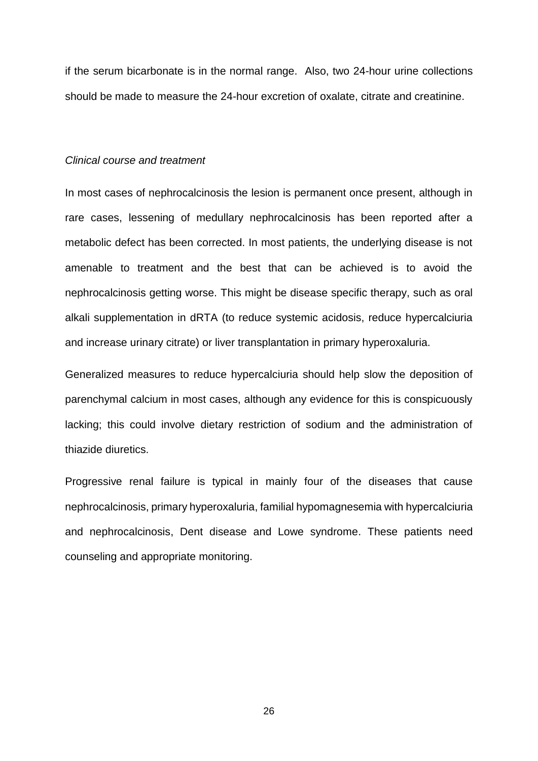if the serum bicarbonate is in the normal range. Also, two 24-hour urine collections should be made to measure the 24-hour excretion of oxalate, citrate and creatinine.

#### *Clinical course and treatment*

In most cases of nephrocalcinosis the lesion is permanent once present, although in rare cases, lessening of medullary nephrocalcinosis has been reported after a metabolic defect has been corrected. In most patients, the underlying disease is not amenable to treatment and the best that can be achieved is to avoid the nephrocalcinosis getting worse. This might be disease specific therapy, such as oral alkali supplementation in dRTA (to reduce systemic acidosis, reduce hypercalciuria and increase urinary citrate) or liver transplantation in primary hyperoxaluria.

Generalized measures to reduce hypercalciuria should help slow the deposition of parenchymal calcium in most cases, although any evidence for this is conspicuously lacking; this could involve dietary restriction of sodium and the administration of thiazide diuretics.

Progressive renal failure is typical in mainly four of the diseases that cause nephrocalcinosis, primary hyperoxaluria, familial hypomagnesemia with hypercalciuria and nephrocalcinosis, Dent disease and Lowe syndrome. These patients need counseling and appropriate monitoring.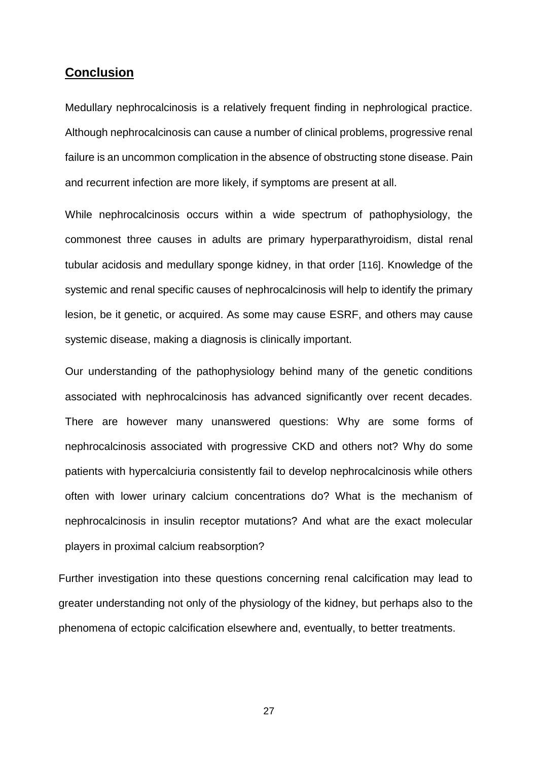# **Conclusion**

Medullary nephrocalcinosis is a relatively frequent finding in nephrological practice. Although nephrocalcinosis can cause a number of clinical problems, progressive renal failure is an uncommon complication in the absence of obstructing stone disease. Pain and recurrent infection are more likely, if symptoms are present at all.

While nephrocalcinosis occurs within a wide spectrum of pathophysiology, the commonest three causes in adults are primary hyperparathyroidism, distal renal tubular acidosis and medullary sponge kidney, in that order [116]. Knowledge of the systemic and renal specific causes of nephrocalcinosis will help to identify the primary lesion, be it genetic, or acquired. As some may cause ESRF, and others may cause systemic disease, making a diagnosis is clinically important.

Our understanding of the pathophysiology behind many of the genetic conditions associated with nephrocalcinosis has advanced significantly over recent decades. There are however many unanswered questions: Why are some forms of nephrocalcinosis associated with progressive CKD and others not? Why do some patients with hypercalciuria consistently fail to develop nephrocalcinosis while others often with lower urinary calcium concentrations do? What is the mechanism of nephrocalcinosis in insulin receptor mutations? And what are the exact molecular players in proximal calcium reabsorption?

Further investigation into these questions concerning renal calcification may lead to greater understanding not only of the physiology of the kidney, but perhaps also to the phenomena of ectopic calcification elsewhere and, eventually, to better treatments.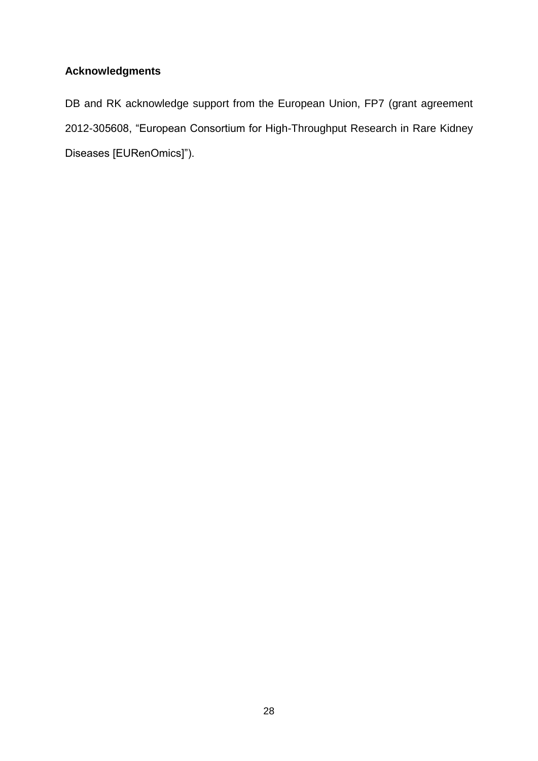# **Acknowledgments**

DB and RK acknowledge support from the European Union, FP7 (grant agreement 2012-305608, "European Consortium for High-Throughput Research in Rare Kidney Diseases [EURenOmics]").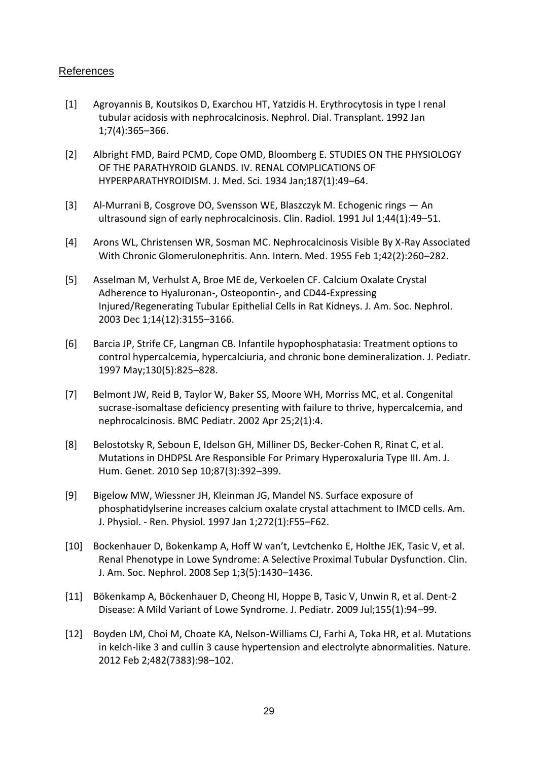### References

- [1] Agroyannis B, Koutsikos D, Exarchou HT, Yatzidis H. Erythrocytosis in type I renal tubular acidosis with nephrocalcinosis. Nephrol. Dial. Transplant. 1992 Jan 1;7(4):365–366.
- [2] Albright FMD, Baird PCMD, Cope OMD, Bloomberg E. STUDIES ON THE PHYSIOLOGY OF THE PARATHYROID GLANDS. IV. RENAL COMPLICATIONS OF HYPERPARATHYROIDISM. J. Med. Sci. 1934 Jan;187(1):49–64.
- [3] Al-Murrani B, Cosgrove DO, Svensson WE, Blaszczyk M. Echogenic rings An ultrasound sign of early nephrocalcinosis. Clin. Radiol. 1991 Jul 1;44(1):49–51.
- [4] Arons WL, Christensen WR, Sosman MC. Nephrocalcinosis Visible By X-Ray Associated With Chronic Glomerulonephritis. Ann. Intern. Med. 1955 Feb 1;42(2):260–282.
- [5] Asselman M, Verhulst A, Broe ME de, Verkoelen CF. Calcium Oxalate Crystal Adherence to Hyaluronan-, Osteopontin-, and CD44-Expressing Injured/Regenerating Tubular Epithelial Cells in Rat Kidneys. J. Am. Soc. Nephrol. 2003 Dec 1;14(12):3155–3166.
- [6] Barcia JP, Strife CF, Langman CB. Infantile hypophosphatasia: Treatment options to control hypercalcemia, hypercalciuria, and chronic bone demineralization. J. Pediatr. 1997 May;130(5):825–828.
- [7] Belmont JW, Reid B, Taylor W, Baker SS, Moore WH, Morriss MC, et al. Congenital sucrase-isomaltase deficiency presenting with failure to thrive, hypercalcemia, and nephrocalcinosis. BMC Pediatr. 2002 Apr 25;2(1):4.
- [8] Belostotsky R, Seboun E, Idelson GH, Milliner DS, Becker-Cohen R, Rinat C, et al. Mutations in DHDPSL Are Responsible For Primary Hyperoxaluria Type III. Am. J. Hum. Genet. 2010 Sep 10;87(3):392–399.
- [9] Bigelow MW, Wiessner JH, Kleinman JG, Mandel NS. Surface exposure of phosphatidylserine increases calcium oxalate crystal attachment to IMCD cells. Am. J. Physiol. - Ren. Physiol. 1997 Jan 1;272(1):F55–F62.
- [10] Bockenhauer D, Bokenkamp A, Hoff W van't, Levtchenko E, Holthe JEK, Tasic V, et al. Renal Phenotype in Lowe Syndrome: A Selective Proximal Tubular Dysfunction. Clin. J. Am. Soc. Nephrol. 2008 Sep 1;3(5):1430–1436.
- [11] Bökenkamp A, Böckenhauer D, Cheong HI, Hoppe B, Tasic V, Unwin R, et al. Dent-2 Disease: A Mild Variant of Lowe Syndrome. J. Pediatr. 2009 Jul;155(1):94–99.
- [12] Boyden LM, Choi M, Choate KA, Nelson-Williams CJ, Farhi A, Toka HR, et al. Mutations in kelch-like 3 and cullin 3 cause hypertension and electrolyte abnormalities. Nature. 2012 Feb 2;482(7383):98–102.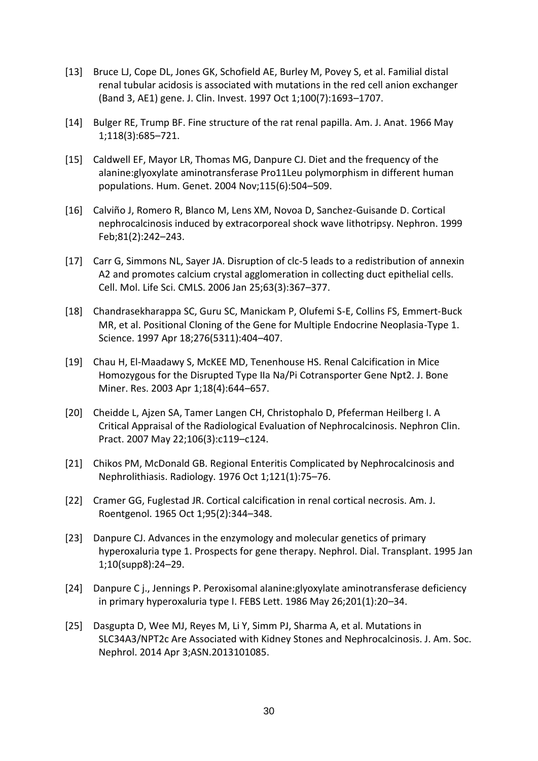- [13] Bruce LJ, Cope DL, Jones GK, Schofield AE, Burley M, Povey S, et al. Familial distal renal tubular acidosis is associated with mutations in the red cell anion exchanger (Band 3, AE1) gene. J. Clin. Invest. 1997 Oct 1;100(7):1693–1707.
- [14] Bulger RE, Trump BF. Fine structure of the rat renal papilla. Am. J. Anat. 1966 May 1;118(3):685–721.
- [15] Caldwell EF, Mayor LR, Thomas MG, Danpure CJ. Diet and the frequency of the alanine:glyoxylate aminotransferase Pro11Leu polymorphism in different human populations. Hum. Genet. 2004 Nov;115(6):504–509.
- [16] Calviño J, Romero R, Blanco M, Lens XM, Novoa D, Sanchez-Guisande D. Cortical nephrocalcinosis induced by extracorporeal shock wave lithotripsy. Nephron. 1999 Feb;81(2):242–243.
- [17] Carr G, Simmons NL, Sayer JA. Disruption of clc-5 leads to a redistribution of annexin A2 and promotes calcium crystal agglomeration in collecting duct epithelial cells. Cell. Mol. Life Sci. CMLS. 2006 Jan 25;63(3):367–377.
- [18] Chandrasekharappa SC, Guru SC, Manickam P, Olufemi S-E, Collins FS, Emmert-Buck MR, et al. Positional Cloning of the Gene for Multiple Endocrine Neoplasia-Type 1. Science. 1997 Apr 18;276(5311):404–407.
- [19] Chau H, El-Maadawy S, McKEE MD, Tenenhouse HS. Renal Calcification in Mice Homozygous for the Disrupted Type IIa Na/Pi Cotransporter Gene Npt2. J. Bone Miner. Res. 2003 Apr 1;18(4):644–657.
- [20] Cheidde L, Ajzen SA, Tamer Langen CH, Christophalo D, Pfeferman Heilberg I. A Critical Appraisal of the Radiological Evaluation of Nephrocalcinosis. Nephron Clin. Pract. 2007 May 22;106(3):c119–c124.
- [21] Chikos PM, McDonald GB. Regional Enteritis Complicated by Nephrocalcinosis and Nephrolithiasis. Radiology. 1976 Oct 1;121(1):75–76.
- [22] Cramer GG, Fuglestad JR. Cortical calcification in renal cortical necrosis. Am. J. Roentgenol. 1965 Oct 1;95(2):344–348.
- [23] Danpure CJ. Advances in the enzymology and molecular genetics of primary hyperoxaluria type 1. Prospects for gene therapy. Nephrol. Dial. Transplant. 1995 Jan 1;10(supp8):24–29.
- [24] Danpure C j., Jennings P. Peroxisomal alanine:glyoxylate aminotransferase deficiency in primary hyperoxaluria type I. FEBS Lett. 1986 May 26;201(1):20–34.
- [25] Dasgupta D, Wee MJ, Reyes M, Li Y, Simm PJ, Sharma A, et al. Mutations in SLC34A3/NPT2c Are Associated with Kidney Stones and Nephrocalcinosis. J. Am. Soc. Nephrol. 2014 Apr 3;ASN.2013101085.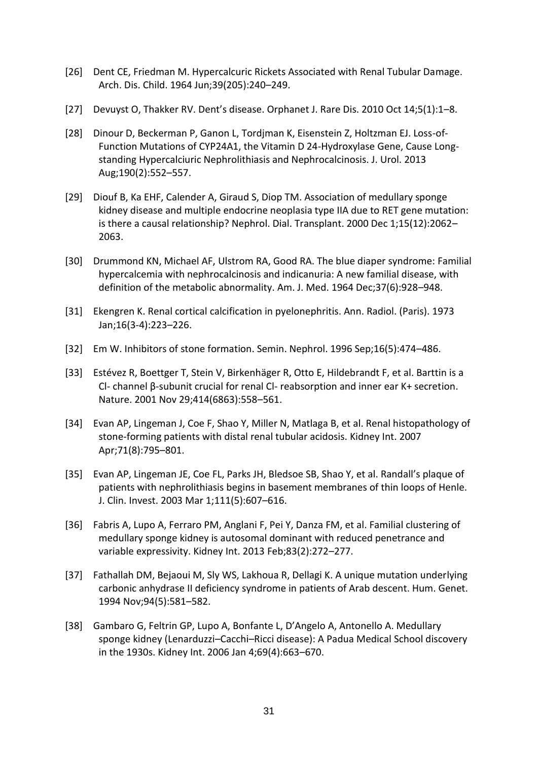- [26] Dent CE, Friedman M. Hypercalcuric Rickets Associated with Renal Tubular Damage. Arch. Dis. Child. 1964 Jun;39(205):240–249.
- [27] Devuyst O, Thakker RV. Dent's disease. Orphanet J. Rare Dis. 2010 Oct 14;5(1):1–8.
- [28] Dinour D, Beckerman P, Ganon L, Tordjman K, Eisenstein Z, Holtzman EJ. Loss-of-Function Mutations of CYP24A1, the Vitamin D 24-Hydroxylase Gene, Cause Longstanding Hypercalciuric Nephrolithiasis and Nephrocalcinosis. J. Urol. 2013 Aug;190(2):552–557.
- [29] Diouf B, Ka EHF, Calender A, Giraud S, Diop TM. Association of medullary sponge kidney disease and multiple endocrine neoplasia type IIA due to RET gene mutation: is there a causal relationship? Nephrol. Dial. Transplant. 2000 Dec 1;15(12):2062– 2063.
- [30] Drummond KN, Michael AF, Ulstrom RA, Good RA. The blue diaper syndrome: Familial hypercalcemia with nephrocalcinosis and indicanuria: A new familial disease, with definition of the metabolic abnormality. Am. J. Med. 1964 Dec;37(6):928–948.
- [31] Ekengren K. Renal cortical calcification in pyelonephritis. Ann. Radiol. (Paris). 1973 Jan;16(3-4):223–226.
- [32] Em W. Inhibitors of stone formation. Semin. Nephrol. 1996 Sep;16(5):474–486.
- [33] Estévez R, Boettger T, Stein V, Birkenhäger R, Otto E, Hildebrandt F, et al. Barttin is a Cl- channel β-subunit crucial for renal Cl- reabsorption and inner ear K+ secretion. Nature. 2001 Nov 29;414(6863):558–561.
- [34] Evan AP, Lingeman J, Coe F, Shao Y, Miller N, Matlaga B, et al. Renal histopathology of stone-forming patients with distal renal tubular acidosis. Kidney Int. 2007 Apr;71(8):795–801.
- [35] Evan AP, Lingeman JE, Coe FL, Parks JH, Bledsoe SB, Shao Y, et al. Randall's plaque of patients with nephrolithiasis begins in basement membranes of thin loops of Henle. J. Clin. Invest. 2003 Mar 1;111(5):607–616.
- [36] Fabris A, Lupo A, Ferraro PM, Anglani F, Pei Y, Danza FM, et al. Familial clustering of medullary sponge kidney is autosomal dominant with reduced penetrance and variable expressivity. Kidney Int. 2013 Feb;83(2):272–277.
- [37] Fathallah DM, Bejaoui M, Sly WS, Lakhoua R, Dellagi K. A unique mutation underlying carbonic anhydrase II deficiency syndrome in patients of Arab descent. Hum. Genet. 1994 Nov;94(5):581–582.
- [38] Gambaro G, Feltrin GP, Lupo A, Bonfante L, D'Angelo A, Antonello A. Medullary sponge kidney (Lenarduzzi–Cacchi–Ricci disease): A Padua Medical School discovery in the 1930s. Kidney Int. 2006 Jan 4;69(4):663–670.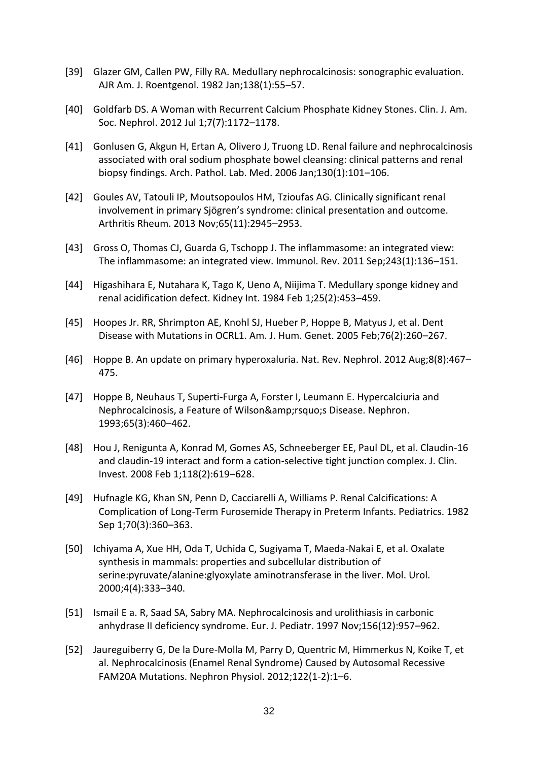- [39] Glazer GM, Callen PW, Filly RA. Medullary nephrocalcinosis: sonographic evaluation. AJR Am. J. Roentgenol. 1982 Jan;138(1):55–57.
- [40] Goldfarb DS. A Woman with Recurrent Calcium Phosphate Kidney Stones. Clin. J. Am. Soc. Nephrol. 2012 Jul 1;7(7):1172–1178.
- [41] Gonlusen G, Akgun H, Ertan A, Olivero J, Truong LD. Renal failure and nephrocalcinosis associated with oral sodium phosphate bowel cleansing: clinical patterns and renal biopsy findings. Arch. Pathol. Lab. Med. 2006 Jan;130(1):101–106.
- [42] Goules AV, Tatouli IP, Moutsopoulos HM, Tzioufas AG. Clinically significant renal involvement in primary Sjögren's syndrome: clinical presentation and outcome. Arthritis Rheum. 2013 Nov;65(11):2945–2953.
- [43] Gross O, Thomas CJ, Guarda G, Tschopp J. The inflammasome: an integrated view: The inflammasome: an integrated view. Immunol. Rev. 2011 Sep;243(1):136–151.
- [44] Higashihara E, Nutahara K, Tago K, Ueno A, Niijima T. Medullary sponge kidney and renal acidification defect. Kidney Int. 1984 Feb 1;25(2):453–459.
- [45] Hoopes Jr. RR, Shrimpton AE, Knohl SJ, Hueber P, Hoppe B, Matyus J, et al. Dent Disease with Mutations in OCRL1. Am. J. Hum. Genet. 2005 Feb;76(2):260–267.
- [46] Hoppe B. An update on primary hyperoxaluria. Nat. Rev. Nephrol. 2012 Aug;8(8):467– 475.
- [47] Hoppe B, Neuhaus T, Superti-Furga A, Forster I, Leumann E. Hypercalciuria and Nephrocalcinosis, a Feature of Wilson& rsquo; s Disease. Nephron. 1993;65(3):460–462.
- [48] Hou J, Renigunta A, Konrad M, Gomes AS, Schneeberger EE, Paul DL, et al. Claudin-16 and claudin-19 interact and form a cation-selective tight junction complex. J. Clin. Invest. 2008 Feb 1;118(2):619–628.
- [49] Hufnagle KG, Khan SN, Penn D, Cacciarelli A, Williams P. Renal Calcifications: A Complication of Long-Term Furosemide Therapy in Preterm Infants. Pediatrics. 1982 Sep 1;70(3):360–363.
- [50] Ichiyama A, Xue HH, Oda T, Uchida C, Sugiyama T, Maeda-Nakai E, et al. Oxalate synthesis in mammals: properties and subcellular distribution of serine:pyruvate/alanine:glyoxylate aminotransferase in the liver. Mol. Urol. 2000;4(4):333–340.
- [51] Ismail E a. R, Saad SA, Sabry MA. Nephrocalcinosis and urolithiasis in carbonic anhydrase II deficiency syndrome. Eur. J. Pediatr. 1997 Nov;156(12):957–962.
- [52] Jaureguiberry G, De la Dure-Molla M, Parry D, Quentric M, Himmerkus N, Koike T, et al. Nephrocalcinosis (Enamel Renal Syndrome) Caused by Autosomal Recessive FAM20A Mutations. Nephron Physiol. 2012;122(1-2):1–6.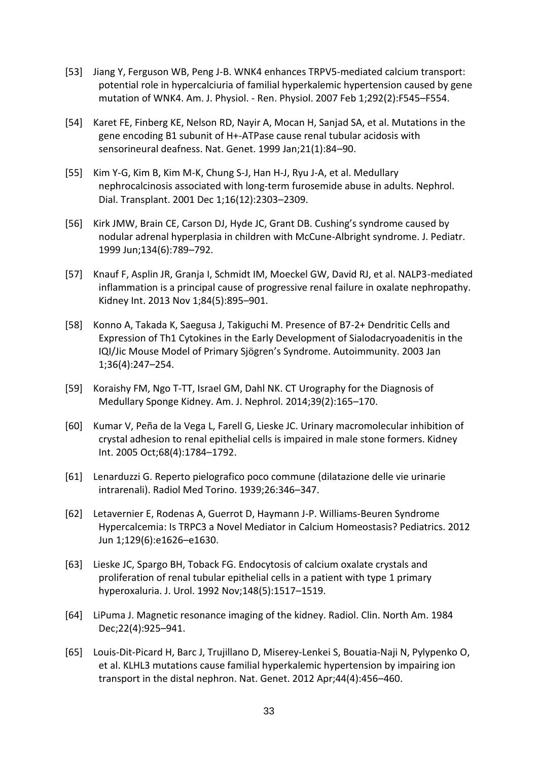- [53] Jiang Y, Ferguson WB, Peng J-B. WNK4 enhances TRPV5-mediated calcium transport: potential role in hypercalciuria of familial hyperkalemic hypertension caused by gene mutation of WNK4. Am. J. Physiol. - Ren. Physiol. 2007 Feb 1;292(2):F545–F554.
- [54] Karet FE, Finberg KE, Nelson RD, Nayir A, Mocan H, Sanjad SA, et al. Mutations in the gene encoding B1 subunit of H+-ATPase cause renal tubular acidosis with sensorineural deafness. Nat. Genet. 1999 Jan;21(1):84–90.
- [55] Kim Y-G, Kim B, Kim M-K, Chung S-J, Han H-J, Ryu J-A, et al. Medullary nephrocalcinosis associated with long‐term furosemide abuse in adults. Nephrol. Dial. Transplant. 2001 Dec 1;16(12):2303–2309.
- [56] Kirk JMW, Brain CE, Carson DJ, Hyde JC, Grant DB. Cushing's syndrome caused by nodular adrenal hyperplasia in children with McCune-Albright syndrome. J. Pediatr. 1999 Jun;134(6):789–792.
- [57] Knauf F, Asplin JR, Granja I, Schmidt IM, Moeckel GW, David RJ, et al. NALP3-mediated inflammation is a principal cause of progressive renal failure in oxalate nephropathy. Kidney Int. 2013 Nov 1;84(5):895–901.
- [58] Konno A, Takada K, Saegusa J, Takiguchi M. Presence of B7-2+ Dendritic Cells and Expression of Th1 Cytokines in the Early Development of Sialodacryoadenitis in the IQI/Jic Mouse Model of Primary Sjögren's Syndrome. Autoimmunity. 2003 Jan 1;36(4):247–254.
- [59] Koraishy FM, Ngo T-TT, Israel GM, Dahl NK. CT Urography for the Diagnosis of Medullary Sponge Kidney. Am. J. Nephrol. 2014;39(2):165–170.
- [60] Kumar V, Peña de la Vega L, Farell G, Lieske JC. Urinary macromolecular inhibition of crystal adhesion to renal epithelial cells is impaired in male stone formers. Kidney Int. 2005 Oct;68(4):1784–1792.
- [61] Lenarduzzi G. Reperto pielografico poco commune (dilatazione delle vie urinarie intrarenali). Radiol Med Torino. 1939;26:346–347.
- [62] Letavernier E, Rodenas A, Guerrot D, Haymann J-P. Williams-Beuren Syndrome Hypercalcemia: Is TRPC3 a Novel Mediator in Calcium Homeostasis? Pediatrics. 2012 Jun 1;129(6):e1626–e1630.
- [63] Lieske JC, Spargo BH, Toback FG. Endocytosis of calcium oxalate crystals and proliferation of renal tubular epithelial cells in a patient with type 1 primary hyperoxaluria. J. Urol. 1992 Nov;148(5):1517–1519.
- [64] LiPuma J. Magnetic resonance imaging of the kidney. Radiol. Clin. North Am. 1984 Dec;22(4):925–941.
- [65] Louis-Dit-Picard H, Barc J, Trujillano D, Miserey-Lenkei S, Bouatia-Naji N, Pylypenko O, et al. KLHL3 mutations cause familial hyperkalemic hypertension by impairing ion transport in the distal nephron. Nat. Genet. 2012 Apr;44(4):456–460.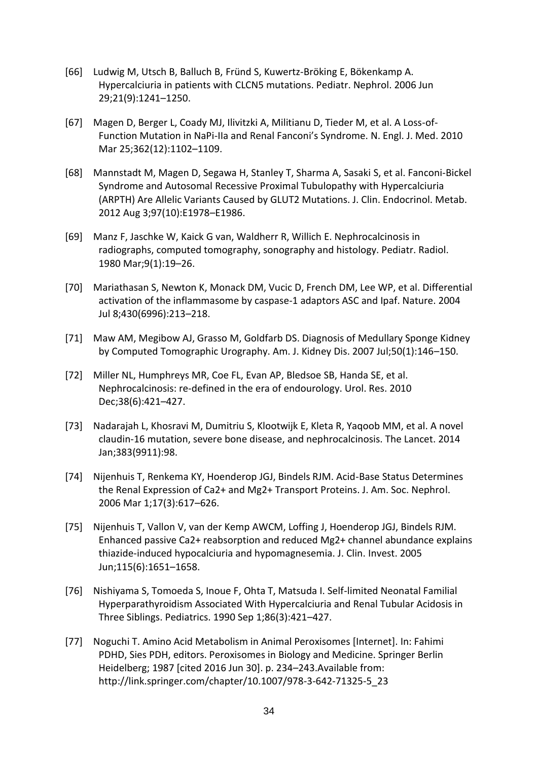- [66] Ludwig M, Utsch B, Balluch B, Fründ S, Kuwertz-Bröking E, Bökenkamp A. Hypercalciuria in patients with CLCN5 mutations. Pediatr. Nephrol. 2006 Jun 29;21(9):1241–1250.
- [67] Magen D, Berger L, Coady MJ, Ilivitzki A, Militianu D, Tieder M, et al. A Loss-of-Function Mutation in NaPi-IIa and Renal Fanconi's Syndrome. N. Engl. J. Med. 2010 Mar 25;362(12):1102–1109.
- [68] Mannstadt M, Magen D, Segawa H, Stanley T, Sharma A, Sasaki S, et al. Fanconi-Bickel Syndrome and Autosomal Recessive Proximal Tubulopathy with Hypercalciuria (ARPTH) Are Allelic Variants Caused by GLUT2 Mutations. J. Clin. Endocrinol. Metab. 2012 Aug 3;97(10):E1978–E1986.
- [69] Manz F, Jaschke W, Kaick G van, Waldherr R, Willich E. Nephrocalcinosis in radiographs, computed tomography, sonography and histology. Pediatr. Radiol. 1980 Mar;9(1):19–26.
- [70] Mariathasan S, Newton K, Monack DM, Vucic D, French DM, Lee WP, et al. Differential activation of the inflammasome by caspase-1 adaptors ASC and Ipaf. Nature. 2004 Jul 8;430(6996):213–218.
- [71] Maw AM, Megibow AJ, Grasso M, Goldfarb DS. Diagnosis of Medullary Sponge Kidney by Computed Tomographic Urography. Am. J. Kidney Dis. 2007 Jul;50(1):146–150.
- [72] Miller NL, Humphreys MR, Coe FL, Evan AP, Bledsoe SB, Handa SE, et al. Nephrocalcinosis: re-defined in the era of endourology. Urol. Res. 2010 Dec;38(6):421–427.
- [73] Nadarajah L, Khosravi M, Dumitriu S, Klootwijk E, Kleta R, Yaqoob MM, et al. A novel claudin-16 mutation, severe bone disease, and nephrocalcinosis. The Lancet. 2014 Jan;383(9911):98.
- [74] Nijenhuis T, Renkema KY, Hoenderop JGJ, Bindels RJM. Acid-Base Status Determines the Renal Expression of Ca2+ and Mg2+ Transport Proteins. J. Am. Soc. Nephrol. 2006 Mar 1;17(3):617–626.
- [75] Nijenhuis T, Vallon V, van der Kemp AWCM, Loffing J, Hoenderop JGJ, Bindels RJM. Enhanced passive Ca2+ reabsorption and reduced Mg2+ channel abundance explains thiazide-induced hypocalciuria and hypomagnesemia. J. Clin. Invest. 2005 Jun;115(6):1651–1658.
- [76] Nishiyama S, Tomoeda S, Inoue F, Ohta T, Matsuda I. Self-limited Neonatal Familial Hyperparathyroidism Associated With Hypercalciuria and Renal Tubular Acidosis in Three Siblings. Pediatrics. 1990 Sep 1;86(3):421–427.
- [77] Noguchi T. Amino Acid Metabolism in Animal Peroxisomes [Internet]. In: Fahimi PDHD, Sies PDH, editors. Peroxisomes in Biology and Medicine. Springer Berlin Heidelberg; 1987 [cited 2016 Jun 30]. p. 234–243.Available from: http://link.springer.com/chapter/10.1007/978-3-642-71325-5\_23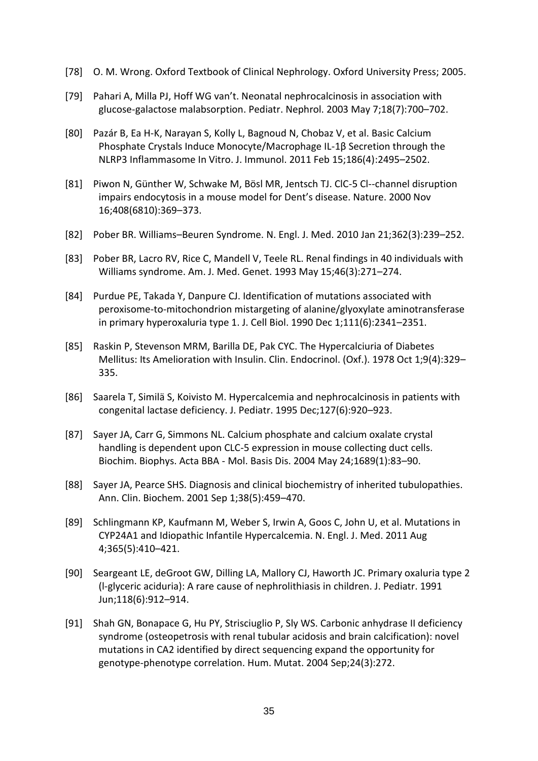- [78] O. M. Wrong. Oxford Textbook of Clinical Nephrology. Oxford University Press; 2005.
- [79] Pahari A, Milla PJ, Hoff WG van't. Neonatal nephrocalcinosis in association with glucose-galactose malabsorption. Pediatr. Nephrol. 2003 May 7;18(7):700–702.
- [80] Pazár B, Ea H-K, Narayan S, Kolly L, Bagnoud N, Chobaz V, et al. Basic Calcium Phosphate Crystals Induce Monocyte/Macrophage IL-1β Secretion through the NLRP3 Inflammasome In Vitro. J. Immunol. 2011 Feb 15;186(4):2495–2502.
- [81] Piwon N, Günther W, Schwake M, Bösl MR, Jentsch TJ. ClC-5 Cl--channel disruption impairs endocytosis in a mouse model for Dent's disease. Nature. 2000 Nov 16;408(6810):369–373.
- [82] Pober BR. Williams–Beuren Syndrome. N. Engl. J. Med. 2010 Jan 21;362(3):239–252.
- [83] Pober BR, Lacro RV, Rice C, Mandell V, Teele RL. Renal findings in 40 individuals with Williams syndrome. Am. J. Med. Genet. 1993 May 15;46(3):271–274.
- [84] Purdue PE, Takada Y, Danpure CJ. Identification of mutations associated with peroxisome-to-mitochondrion mistargeting of alanine/glyoxylate aminotransferase in primary hyperoxaluria type 1. J. Cell Biol. 1990 Dec 1;111(6):2341–2351.
- [85] Raskin P, Stevenson MRM, Barilla DE, Pak CYC. The Hypercalciuria of Diabetes Mellitus: Its Amelioration with Insulin. Clin. Endocrinol. (Oxf.). 1978 Oct 1;9(4):329– 335.
- [86] Saarela T, Similä S, Koivisto M. Hypercalcemia and nephrocalcinosis in patients with congenital lactase deficiency. J. Pediatr. 1995 Dec;127(6):920–923.
- [87] Sayer JA, Carr G, Simmons NL. Calcium phosphate and calcium oxalate crystal handling is dependent upon CLC-5 expression in mouse collecting duct cells. Biochim. Biophys. Acta BBA - Mol. Basis Dis. 2004 May 24;1689(1):83–90.
- [88] Sayer JA, Pearce SHS. Diagnosis and clinical biochemistry of inherited tubulopathies. Ann. Clin. Biochem. 2001 Sep 1;38(5):459–470.
- [89] Schlingmann KP, Kaufmann M, Weber S, Irwin A, Goos C, John U, et al. Mutations in CYP24A1 and Idiopathic Infantile Hypercalcemia. N. Engl. J. Med. 2011 Aug 4;365(5):410–421.
- [90] Seargeant LE, deGroot GW, Dilling LA, Mallory CJ, Haworth JC. Primary oxaluria type 2 (l-glyceric aciduria): A rare cause of nephrolithiasis in children. J. Pediatr. 1991 Jun;118(6):912–914.
- [91] Shah GN, Bonapace G, Hu PY, Strisciuglio P, Sly WS. Carbonic anhydrase II deficiency syndrome (osteopetrosis with renal tubular acidosis and brain calcification): novel mutations in CA2 identified by direct sequencing expand the opportunity for genotype-phenotype correlation. Hum. Mutat. 2004 Sep;24(3):272.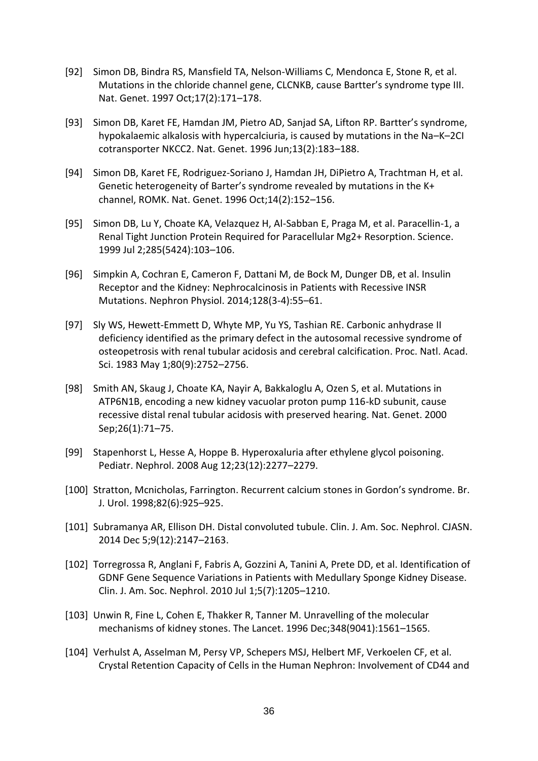- [92] Simon DB, Bindra RS, Mansfield TA, Nelson-Williams C, Mendonca E, Stone R, et al. Mutations in the chloride channel gene, CLCNKB, cause Bartter's syndrome type III. Nat. Genet. 1997 Oct;17(2):171–178.
- [93] Simon DB, Karet FE, Hamdan JM, Pietro AD, Sanjad SA, Lifton RP. Bartter's syndrome, hypokalaemic alkalosis with hypercalciuria, is caused by mutations in the Na–K–2CI cotransporter NKCC2. Nat. Genet. 1996 Jun;13(2):183–188.
- [94] Simon DB, Karet FE, Rodriguez-Soriano J, Hamdan JH, DiPietro A, Trachtman H, et al. Genetic heterogeneity of Barter's syndrome revealed by mutations in the K+ channel, ROMK. Nat. Genet. 1996 Oct;14(2):152–156.
- [95] Simon DB, Lu Y, Choate KA, Velazquez H, Al-Sabban E, Praga M, et al. Paracellin-1, a Renal Tight Junction Protein Required for Paracellular Mg2+ Resorption. Science. 1999 Jul 2;285(5424):103–106.
- [96] Simpkin A, Cochran E, Cameron F, Dattani M, de Bock M, Dunger DB, et al. Insulin Receptor and the Kidney: Nephrocalcinosis in Patients with Recessive INSR Mutations. Nephron Physiol. 2014;128(3-4):55–61.
- [97] Sly WS, Hewett-Emmett D, Whyte MP, Yu YS, Tashian RE. Carbonic anhydrase II deficiency identified as the primary defect in the autosomal recessive syndrome of osteopetrosis with renal tubular acidosis and cerebral calcification. Proc. Natl. Acad. Sci. 1983 May 1;80(9):2752–2756.
- [98] Smith AN, Skaug J, Choate KA, Nayir A, Bakkaloglu A, Ozen S, et al. Mutations in ATP6N1B, encoding a new kidney vacuolar proton pump 116-kD subunit, cause recessive distal renal tubular acidosis with preserved hearing. Nat. Genet. 2000 Sep;26(1):71–75.
- [99] Stapenhorst L, Hesse A, Hoppe B. Hyperoxaluria after ethylene glycol poisoning. Pediatr. Nephrol. 2008 Aug 12;23(12):2277–2279.
- [100] Stratton, Mcnicholas, Farrington. Recurrent calcium stones in Gordon's syndrome. Br. J. Urol. 1998;82(6):925–925.
- [101] Subramanya AR, Ellison DH. Distal convoluted tubule. Clin. J. Am. Soc. Nephrol. CJASN. 2014 Dec 5;9(12):2147–2163.
- [102] Torregrossa R, Anglani F, Fabris A, Gozzini A, Tanini A, Prete DD, et al. Identification of GDNF Gene Sequence Variations in Patients with Medullary Sponge Kidney Disease. Clin. J. Am. Soc. Nephrol. 2010 Jul 1;5(7):1205–1210.
- [103] Unwin R, Fine L, Cohen E, Thakker R, Tanner M. Unravelling of the molecular mechanisms of kidney stones. The Lancet. 1996 Dec;348(9041):1561–1565.
- [104] Verhulst A, Asselman M, Persy VP, Schepers MSJ, Helbert MF, Verkoelen CF, et al. Crystal Retention Capacity of Cells in the Human Nephron: Involvement of CD44 and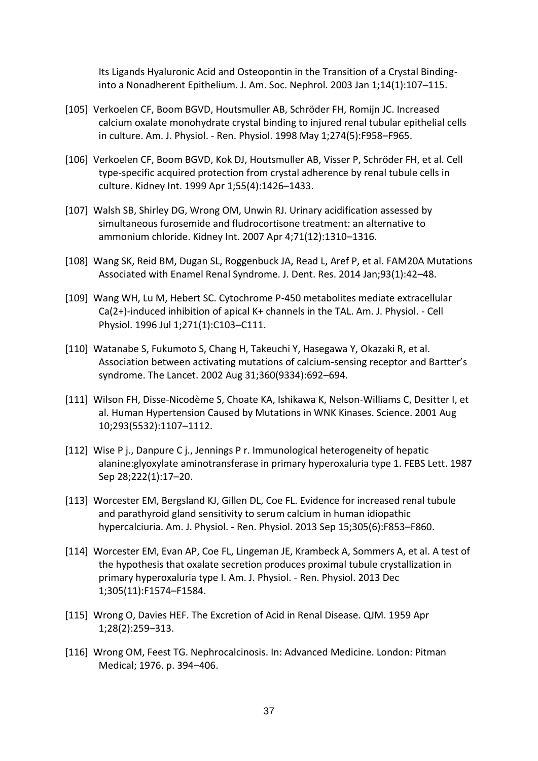Its Ligands Hyaluronic Acid and Osteopontin in the Transition of a Crystal Bindinginto a Nonadherent Epithelium. J. Am. Soc. Nephrol. 2003 Jan 1;14(1):107–115.

- [105] Verkoelen CF, Boom BGVD, Houtsmuller AB, Schröder FH, Romijn JC. Increased calcium oxalate monohydrate crystal binding to injured renal tubular epithelial cells in culture. Am. J. Physiol. - Ren. Physiol. 1998 May 1;274(5):F958–F965.
- [106] Verkoelen CF, Boom BGVD, Kok DJ, Houtsmuller AB, Visser P, Schröder FH, et al. Cell type-specific acquired protection from crystal adherence by renal tubule cells in culture. Kidney Int. 1999 Apr 1;55(4):1426–1433.
- [107] Walsh SB, Shirley DG, Wrong OM, Unwin RJ. Urinary acidification assessed by simultaneous furosemide and fludrocortisone treatment: an alternative to ammonium chloride. Kidney Int. 2007 Apr 4;71(12):1310–1316.
- [108] Wang SK, Reid BM, Dugan SL, Roggenbuck JA, Read L, Aref P, et al. FAM20A Mutations Associated with Enamel Renal Syndrome. J. Dent. Res. 2014 Jan;93(1):42–48.
- [109] Wang WH, Lu M, Hebert SC. Cytochrome P-450 metabolites mediate extracellular Ca(2+)-induced inhibition of apical K+ channels in the TAL. Am. J. Physiol. - Cell Physiol. 1996 Jul 1;271(1):C103–C111.
- [110] Watanabe S, Fukumoto S, Chang H, Takeuchi Y, Hasegawa Y, Okazaki R, et al. Association between activating mutations of calcium-sensing receptor and Bartter's syndrome. The Lancet. 2002 Aug 31;360(9334):692–694.
- [111] Wilson FH, Disse-Nicodème S, Choate KA, Ishikawa K, Nelson-Williams C, Desitter I, et al. Human Hypertension Caused by Mutations in WNK Kinases. Science. 2001 Aug 10;293(5532):1107–1112.
- [112] Wise P j., Danpure C j., Jennings P r. Immunological heterogeneity of hepatic alanine:glyoxylate aminotransferase in primary hyperoxaluria type 1. FEBS Lett. 1987 Sep 28;222(1):17–20.
- [113] Worcester EM, Bergsland KJ, Gillen DL, Coe FL. Evidence for increased renal tubule and parathyroid gland sensitivity to serum calcium in human idiopathic hypercalciuria. Am. J. Physiol. - Ren. Physiol. 2013 Sep 15;305(6):F853–F860.
- [114] Worcester EM, Evan AP, Coe FL, Lingeman JE, Krambeck A, Sommers A, et al. A test of the hypothesis that oxalate secretion produces proximal tubule crystallization in primary hyperoxaluria type I. Am. J. Physiol. - Ren. Physiol. 2013 Dec 1;305(11):F1574–F1584.
- [115] Wrong O, Davies HEF. The Excretion of Acid in Renal Disease. QJM. 1959 Apr 1;28(2):259–313.
- [116] Wrong OM, Feest TG. Nephrocalcinosis. In: Advanced Medicine. London: Pitman Medical; 1976. p. 394–406.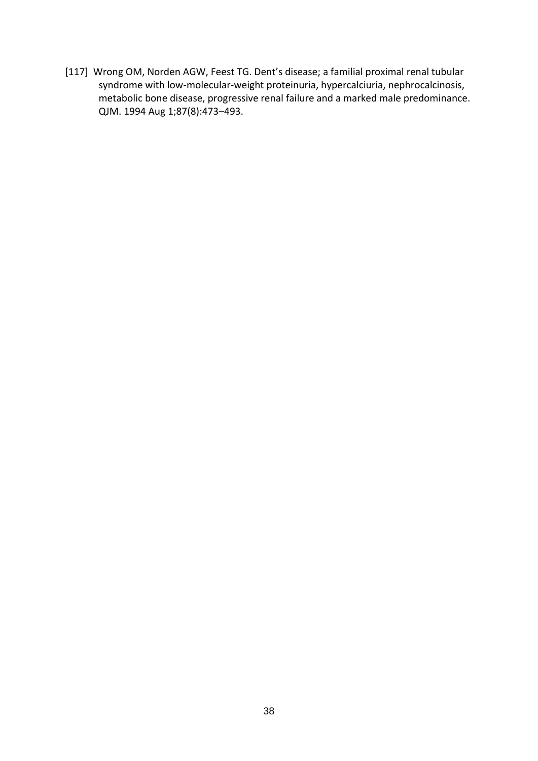[117] Wrong OM, Norden AGW, Feest TG. Dent's disease; a familial proximal renal tubular syndrome with low-molecular-weight proteinuria, hypercalciuria, nephrocalcinosis, metabolic bone disease, progressive renal failure and a marked male predominance. QJM. 1994 Aug 1;87(8):473–493.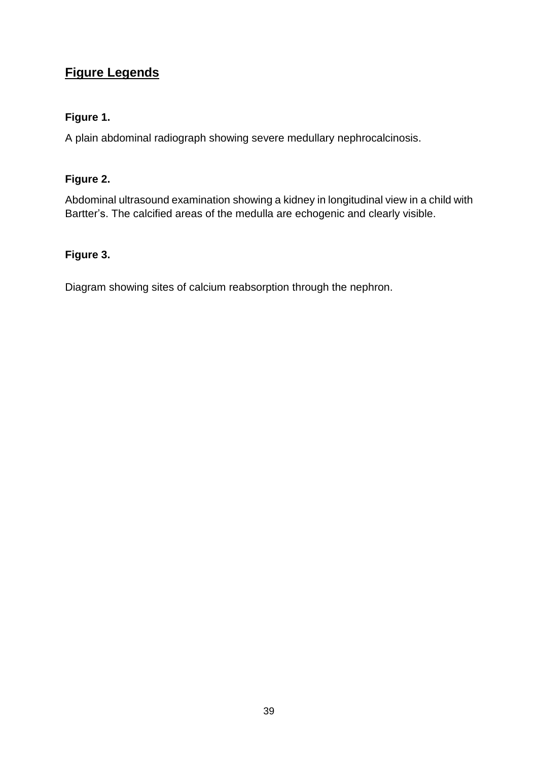# **Figure Legends**

# **Figure 1.**

A plain abdominal radiograph showing severe medullary nephrocalcinosis.

# **Figure 2.**

Abdominal ultrasound examination showing a kidney in longitudinal view in a child with Bartter's. The calcified areas of the medulla are echogenic and clearly visible.

# **Figure 3.**

Diagram showing sites of calcium reabsorption through the nephron.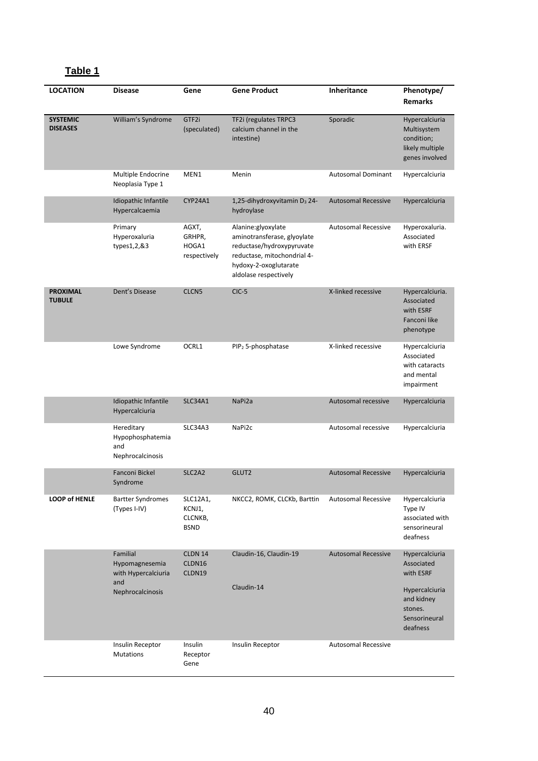# **Table 1**

| <b>LOCATION</b>                    | <b>Disease</b>                                                               | Gene                                         | <b>Gene Product</b>                                                                                                                                             | Inheritance                | Phenotype/<br><b>Remarks</b>                                                                                      |
|------------------------------------|------------------------------------------------------------------------------|----------------------------------------------|-----------------------------------------------------------------------------------------------------------------------------------------------------------------|----------------------------|-------------------------------------------------------------------------------------------------------------------|
| <b>SYSTEMIC</b><br><b>DISEASES</b> | William's Syndrome                                                           | GTF2i<br>(speculated)                        | TF2i (regulates TRPC3<br>calcium channel in the<br>intestine)                                                                                                   | Sporadic                   | Hypercalciuria<br>Multisystem<br>condition;<br>likely multiple<br>genes involved                                  |
|                                    | Multiple Endocrine<br>Neoplasia Type 1                                       | MEN1                                         | Menin                                                                                                                                                           | <b>Autosomal Dominant</b>  | Hypercalciuria                                                                                                    |
|                                    | Idiopathic Infantile<br>Hypercalcaemia                                       | CYP24A1                                      | 1,25-dihydroxyvitamin D <sub>3</sub> 24-<br>hydroylase                                                                                                          | <b>Autosomal Recessive</b> | Hypercalciuria                                                                                                    |
|                                    | Primary<br>Hyperoxaluria<br>types1,2,&3                                      | AGXT,<br>GRHPR,<br>HOGA1<br>respectively     | Alanine:glyoxylate<br>aminotransferase, glyoylate<br>reductase/hydroxypyruvate<br>reductase, mitochondrial 4-<br>hydoxy-2-oxoglutarate<br>aldolase respectively | <b>Autosomal Recessive</b> | Hyperoxaluria.<br>Associated<br>with ERSF                                                                         |
| <b>PROXIMAL</b><br><b>TUBULE</b>   | Dent's Disease                                                               | CLCN <sub>5</sub>                            | $CIC-5$                                                                                                                                                         | X-linked recessive         | Hypercalciuria.<br>Associated<br>with ESRF<br>Fanconi like<br>phenotype                                           |
|                                    | Lowe Syndrome                                                                | OCRL1                                        | PIP <sub>2</sub> 5-phosphatase                                                                                                                                  | X-linked recessive         | Hypercalciuria<br>Associated<br>with cataracts<br>and mental<br>impairment                                        |
|                                    | Idiopathic Infantile<br>Hypercalciuria                                       | SLC34A1                                      | NaPi2a                                                                                                                                                          | Autosomal recessive        | Hypercalciuria                                                                                                    |
|                                    | Hereditary<br>Hypophosphatemia<br>and<br>Nephrocalcinosis                    | SLC34A3                                      | NaPi2c                                                                                                                                                          | Autosomal recessive        | Hypercalciuria                                                                                                    |
|                                    | Fanconi Bickel<br>Syndrome                                                   | SLC <sub>2</sub> A <sub>2</sub>              | GLUT2                                                                                                                                                           | <b>Autosomal Recessive</b> | Hypercalciuria                                                                                                    |
| <b>LOOP of HENLE</b>               | <b>Bartter Syndromes</b><br>(Types I-IV)                                     | SLC12A1,<br>KCNJ1,<br>CLCNKB,<br><b>BSND</b> | NKCC2, ROMK, CLCKb, Barttin                                                                                                                                     | <b>Autosomal Recessive</b> | Hypercalciuria<br>Type IV<br>associated with<br>sensorineural<br>deafness                                         |
|                                    | Familial<br>Hypomagnesemia<br>with Hypercalciuria<br>and<br>Nephrocalcinosis | CLDN 14<br>CLDN16<br>CLDN19                  | Claudin-16, Claudin-19<br>Claudin-14                                                                                                                            | <b>Autosomal Recessive</b> | Hypercalciuria<br>Associated<br>with ESRF<br>Hypercalciuria<br>and kidney<br>stones.<br>Sensorineural<br>deafness |
|                                    | Insulin Receptor<br>Mutations                                                | Insulin<br>Receptor<br>Gene                  | Insulin Receptor                                                                                                                                                | <b>Autosomal Recessive</b> |                                                                                                                   |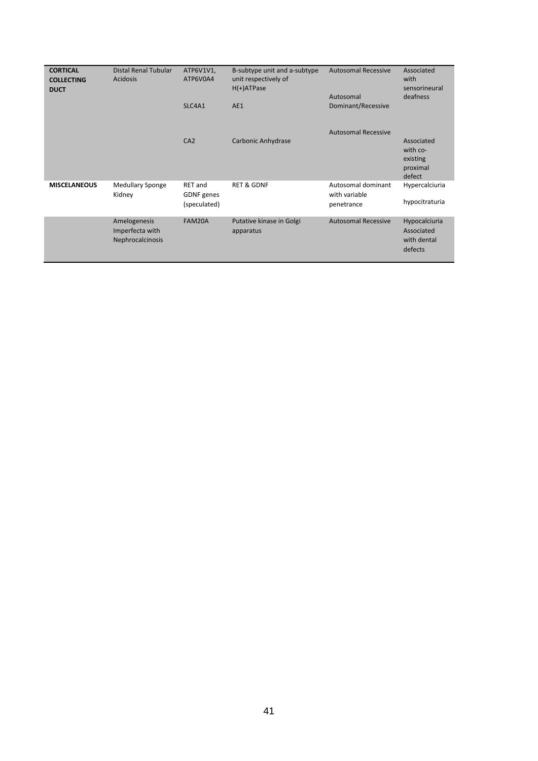| <b>CORTICAL</b><br><b>COLLECTING</b><br><b>DUCT</b> | <b>Distal Renal Tubular</b><br><b>Acidosis</b>      | ATP6V1V1,<br>ATP6V0A4                        | B-subtype unit and a-subtype<br>unit respectively of<br>$H(+)$ ATPase | <b>Autosomal Recessive</b><br>Autosomal           | Associated<br>with<br>sensorineural<br>deafness          |
|-----------------------------------------------------|-----------------------------------------------------|----------------------------------------------|-----------------------------------------------------------------------|---------------------------------------------------|----------------------------------------------------------|
|                                                     |                                                     | SLC4A1                                       | AE1                                                                   | Dominant/Recessive                                |                                                          |
|                                                     |                                                     | CA2                                          | Carbonic Anhydrase                                                    | <b>Autosomal Recessive</b>                        | Associated<br>with co-<br>existing<br>proximal<br>defect |
| <b>MISCELANEOUS</b>                                 | <b>Medullary Sponge</b><br>Kidney                   | <b>RET</b> and<br>GDNF genes<br>(speculated) | <b>RET &amp; GDNF</b>                                                 | Autosomal dominant<br>with variable<br>penetrance | Hypercalciuria<br>hypocitraturia                         |
|                                                     | Amelogenesis<br>Imperfecta with<br>Nephrocalcinosis | FAM20A                                       | Putative kinase in Golgi<br>apparatus                                 | <b>Autosomal Recessive</b>                        | Hypocalciuria<br>Associated<br>with dental<br>defects    |